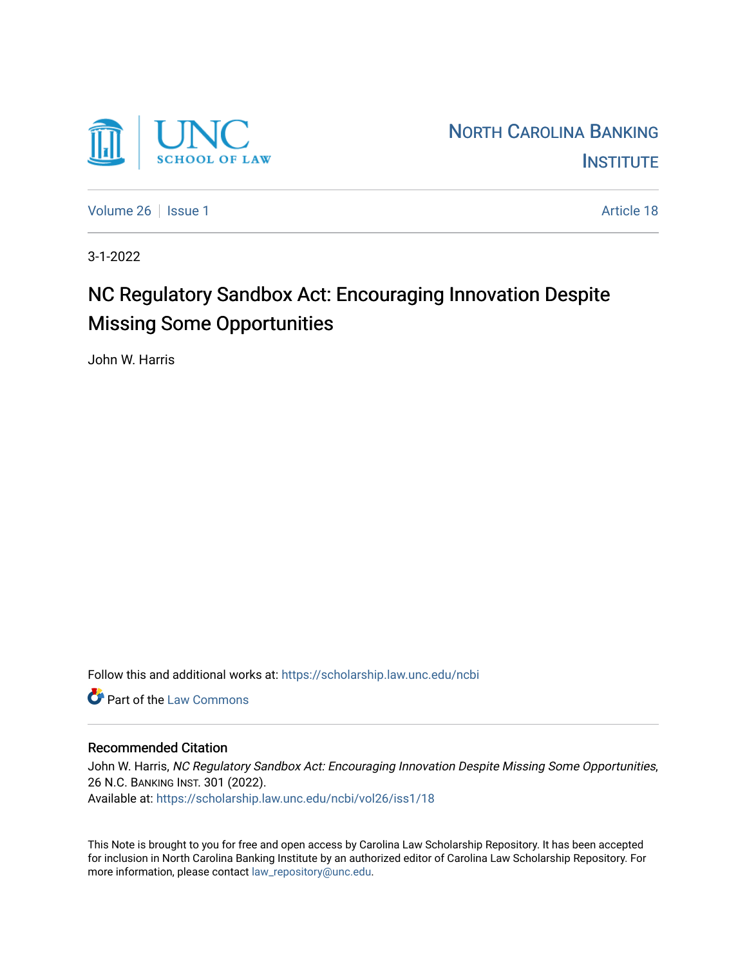

[Volume 26](https://scholarship.law.unc.edu/ncbi/vol26) | [Issue 1](https://scholarship.law.unc.edu/ncbi/vol26/iss1) Article 18

3-1-2022

# NC Regulatory Sandbox Act: Encouraging Innovation Despite Missing Some Opportunities

John W. Harris

Follow this and additional works at: [https://scholarship.law.unc.edu/ncbi](https://scholarship.law.unc.edu/ncbi?utm_source=scholarship.law.unc.edu%2Fncbi%2Fvol26%2Fiss1%2F18&utm_medium=PDF&utm_campaign=PDFCoverPages)

**C** Part of the [Law Commons](https://network.bepress.com/hgg/discipline/578?utm_source=scholarship.law.unc.edu%2Fncbi%2Fvol26%2Fiss1%2F18&utm_medium=PDF&utm_campaign=PDFCoverPages)

# Recommended Citation

John W. Harris, NC Regulatory Sandbox Act: Encouraging Innovation Despite Missing Some Opportunities, 26 N.C. BANKING INST. 301 (2022). Available at: [https://scholarship.law.unc.edu/ncbi/vol26/iss1/18](https://scholarship.law.unc.edu/ncbi/vol26/iss1/18?utm_source=scholarship.law.unc.edu%2Fncbi%2Fvol26%2Fiss1%2F18&utm_medium=PDF&utm_campaign=PDFCoverPages) 

This Note is brought to you for free and open access by Carolina Law Scholarship Repository. It has been accepted for inclusion in North Carolina Banking Institute by an authorized editor of Carolina Law Scholarship Repository. For more information, please contact [law\\_repository@unc.edu](mailto:law_repository@unc.edu).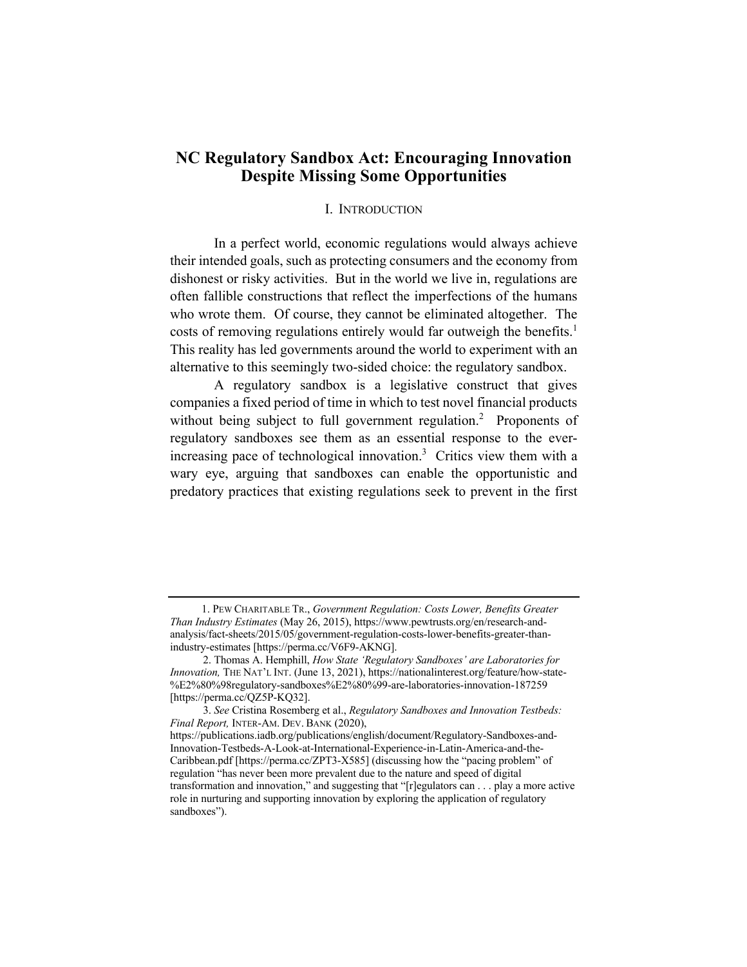# **NC Regulatory Sandbox Act: Encouraging Innovation Despite Missing Some Opportunities**

# I. INTRODUCTION

In a perfect world, economic regulations would always achieve their intended goals, such as protecting consumers and the economy from dishonest or risky activities. But in the world we live in, regulations are often fallible constructions that reflect the imperfections of the humans who wrote them. Of course, they cannot be eliminated altogether. The costs of removing regulations entirely would far outweigh the benefits.<sup>1</sup> This reality has led governments around the world to experiment with an alternative to this seemingly two-sided choice: the regulatory sandbox.

A regulatory sandbox is a legislative construct that gives companies a fixed period of time in which to test novel financial products without being subject to full government regulation.<sup>2</sup> Proponents of regulatory sandboxes see them as an essential response to the everincreasing pace of technological innovation.<sup>3</sup> Critics view them with a wary eye, arguing that sandboxes can enable the opportunistic and predatory practices that existing regulations seek to prevent in the first

<sup>1.</sup> PEW CHARITABLE TR., *Government Regulation: Costs Lower, Benefits Greater Than Industry Estimates* (May 26, 2015), https://www.pewtrusts.org/en/research-andanalysis/fact-sheets/2015/05/government-regulation-costs-lower-benefits-greater-thanindustry-estimates [https://perma.cc/V6F9-AKNG].

 <sup>2.</sup> Thomas A. Hemphill, *How State 'Regulatory Sandboxes' are Laboratories for Innovation,* THE NAT'L INT. (June 13, 2021), https://nationalinterest.org/feature/how-state- %E2%80%98regulatory-sandboxes%E2%80%99-are-laboratories-innovation-187259 [https://perma.cc/QZ5P-KQ32].

 <sup>3.</sup> *See* Cristina Rosemberg et al., *Regulatory Sandboxes and Innovation Testbeds: Final Report,* INTER-AM. DEV. BANK (2020),

https://publications.iadb.org/publications/english/document/Regulatory-Sandboxes-and-Innovation-Testbeds-A-Look-at-International-Experience-in-Latin-America-and-the-Caribbean.pdf [https://perma.cc/ZPT3-X585] (discussing how the "pacing problem" of regulation "has never been more prevalent due to the nature and speed of digital transformation and innovation," and suggesting that "[r]egulators can . . . play a more active role in nurturing and supporting innovation by exploring the application of regulatory sandboxes").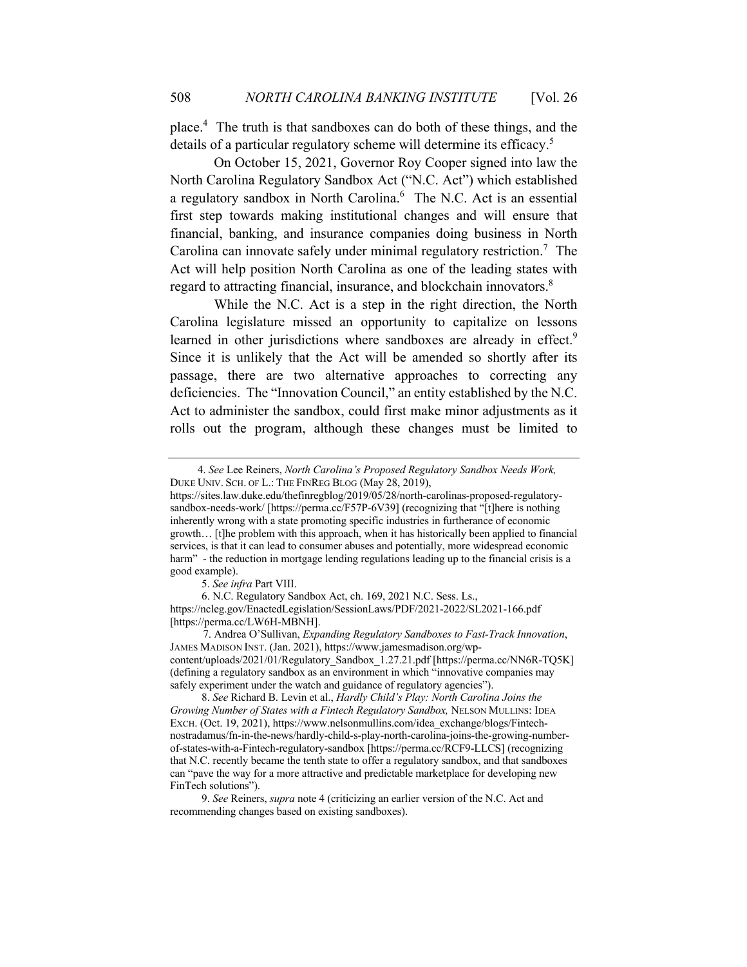place.4 The truth is that sandboxes can do both of these things, and the details of a particular regulatory scheme will determine its efficacy.<sup>5</sup>

On October 15, 2021, Governor Roy Cooper signed into law the North Carolina Regulatory Sandbox Act ("N.C. Act") which established a regulatory sandbox in North Carolina.<sup>6</sup> The N.C. Act is an essential first step towards making institutional changes and will ensure that financial, banking, and insurance companies doing business in North Carolina can innovate safely under minimal regulatory restriction.<sup>7</sup> The Act will help position North Carolina as one of the leading states with regard to attracting financial, insurance, and blockchain innovators.<sup>8</sup>

While the N.C. Act is a step in the right direction, the North Carolina legislature missed an opportunity to capitalize on lessons learned in other jurisdictions where sandboxes are already in effect.<sup>9</sup> Since it is unlikely that the Act will be amended so shortly after its passage, there are two alternative approaches to correcting any deficiencies. The "Innovation Council," an entity established by the N.C. Act to administer the sandbox, could first make minor adjustments as it rolls out the program, although these changes must be limited to

5. *See infra* Part VIII.

6. N.C. Regulatory Sandbox Act, ch. 169, 2021 N.C. Sess. Ls., https://ncleg.gov/EnactedLegislation/SessionLaws/PDF/2021-2022/SL2021-166.pdf [https://perma.cc/LW6H-MBNH].

 7. Andrea O'Sullivan, *Expanding Regulatory Sandboxes to Fast-Track Innovation*, JAMES MADISON INST. (Jan. 2021), https://www.jamesmadison.org/wpcontent/uploads/2021/01/Regulatory\_Sandbox\_1.27.21.pdf [https://perma.cc/NN6R-TQ5K] (defining a regulatory sandbox as an environment in which "innovative companies may safely experiment under the watch and guidance of regulatory agencies").

8. *See* Richard B. Levin et al., *Hardly Child's Play: North Carolina Joins the Growing Number of States with a Fintech Regulatory Sandbox,* NELSON MULLINS: IDEA EXCH. (Oct. 19, 2021), https://www.nelsonmullins.com/idea\_exchange/blogs/Fintechnostradamus/fn-in-the-news/hardly-child-s-play-north-carolina-joins-the-growing-numberof-states-with-a-Fintech-regulatory-sandbox [https://perma.cc/RCF9-LLCS] (recognizing that N.C. recently became the tenth state to offer a regulatory sandbox, and that sandboxes can "pave the way for a more attractive and predictable marketplace for developing new FinTech solutions").

9. *See* Reiners, *supra* note 4 (criticizing an earlier version of the N.C. Act and recommending changes based on existing sandboxes).

 <sup>4.</sup> *See* Lee Reiners, *North Carolina's Proposed Regulatory Sandbox Needs Work,* DUKE UNIV. SCH. OF L.: THE FINREG BLOG (May 28, 2019),

https://sites.law.duke.edu/thefinregblog/2019/05/28/north-carolinas-proposed-regulatorysandbox-needs-work/ [https://perma.cc/F57P-6V39] (recognizing that "[t]here is nothing inherently wrong with a state promoting specific industries in furtherance of economic growth… [t]he problem with this approach, when it has historically been applied to financial services, is that it can lead to consumer abuses and potentially, more widespread economic harm" - the reduction in mortgage lending regulations leading up to the financial crisis is a good example).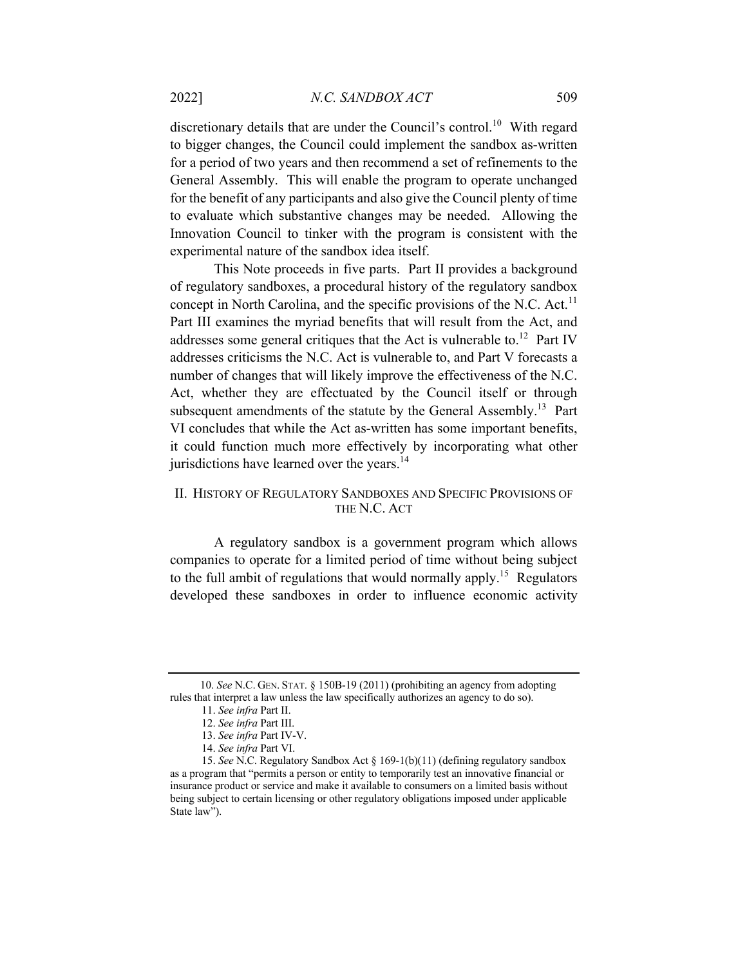discretionary details that are under the Council's control.<sup>10</sup> With regard to bigger changes, the Council could implement the sandbox as-written for a period of two years and then recommend a set of refinements to the General Assembly. This will enable the program to operate unchanged for the benefit of any participants and also give the Council plenty of time to evaluate which substantive changes may be needed. Allowing the Innovation Council to tinker with the program is consistent with the experimental nature of the sandbox idea itself.

This Note proceeds in five parts. Part II provides a background of regulatory sandboxes, a procedural history of the regulatory sandbox concept in North Carolina, and the specific provisions of the N.C. Act.<sup>11</sup> Part III examines the myriad benefits that will result from the Act, and addresses some general critiques that the Act is vulnerable to.<sup>12</sup> Part IV addresses criticisms the N.C. Act is vulnerable to, and Part V forecasts a number of changes that will likely improve the effectiveness of the N.C. Act, whether they are effectuated by the Council itself or through subsequent amendments of the statute by the General Assembly.<sup>13</sup> Part VI concludes that while the Act as-written has some important benefits, it could function much more effectively by incorporating what other jurisdictions have learned over the years.<sup>14</sup>

# II. HISTORY OF REGULATORY SANDBOXES AND SPECIFIC PROVISIONS OF THE N.C. ACT

A regulatory sandbox is a government program which allows companies to operate for a limited period of time without being subject to the full ambit of regulations that would normally apply.<sup>15</sup> Regulators developed these sandboxes in order to influence economic activity

 <sup>10.</sup> *See* N.C. GEN. STAT. § 150B-19 (2011) (prohibiting an agency from adopting rules that interpret a law unless the law specifically authorizes an agency to do so).

<sup>11.</sup> *See infra* Part II.

<sup>12.</sup> *See infra* Part III.

<sup>13.</sup> *See infra* Part IV-V.

<sup>14.</sup> *See infra* Part VI.

<sup>15.</sup> *See* N.C. Regulatory Sandbox Act § 169-1(b)(11) (defining regulatory sandbox as a program that "permits a person or entity to temporarily test an innovative financial or insurance product or service and make it available to consumers on a limited basis without being subject to certain licensing or other regulatory obligations imposed under applicable State law").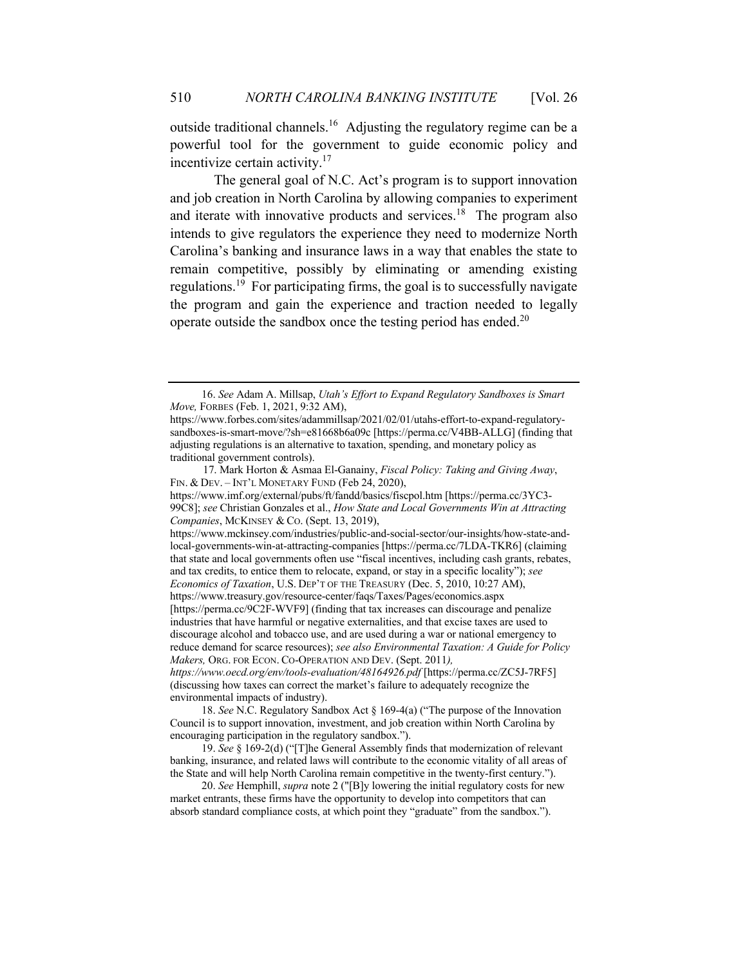outside traditional channels.<sup>16</sup> Adjusting the regulatory regime can be a powerful tool for the government to guide economic policy and incentivize certain activity. $17$ 

The general goal of N.C. Act's program is to support innovation and job creation in North Carolina by allowing companies to experiment and iterate with innovative products and services.<sup>18</sup> The program also intends to give regulators the experience they need to modernize North Carolina's banking and insurance laws in a way that enables the state to remain competitive, possibly by eliminating or amending existing regulations.<sup>19</sup> For participating firms, the goal is to successfully navigate the program and gain the experience and traction needed to legally operate outside the sandbox once the testing period has ended.<sup>20</sup>

 17. Mark Horton & Asmaa El-Ganainy, *Fiscal Policy: Taking and Giving Away*, FIN. & DEV. – INT'L MONETARY FUND (Feb 24, 2020),

https://www.mckinsey.com/industries/public-and-social-sector/our-insights/how-state-andlocal-governments-win-at-attracting-companies [https://perma.cc/7LDA-TKR6] (claiming that state and local governments often use "fiscal incentives, including cash grants, rebates, and tax credits, to entice them to relocate, expand, or stay in a specific locality"); *see Economics of Taxation*, U.S. DEP'T OF THE TREASURY (Dec. 5, 2010, 10:27 AM), https://www.treasury.gov/resource-center/faqs/Taxes/Pages/economics.aspx [https://perma.cc/9C2F-WVF9] (finding that tax increases can discourage and penalize industries that have harmful or negative externalities, and that excise taxes are used to discourage alcohol and tobacco use, and are used during a war or national emergency to reduce demand for scarce resources); *see also Environmental Taxation: A Guide for Policy Makers,* ORG. FOR ECON. CO-OPERATION AND DEV. (Sept. 2011*), https://www.oecd.org/env/tools-evaluation/48164926.pdf* [https://perma.cc/ZC5J-7RF5]

(discussing how taxes can correct the market's failure to adequately recognize the environmental impacts of industry).

18. *See* N.C. Regulatory Sandbox Act § 169-4(a) ("The purpose of the Innovation Council is to support innovation, investment, and job creation within North Carolina by encouraging participation in the regulatory sandbox.").

19. *See* § 169-2(d) ("[T]he General Assembly finds that modernization of relevant banking, insurance, and related laws will contribute to the economic vitality of all areas of the State and will help North Carolina remain competitive in the twenty-first century.").

20. *See* Hemphill, *supra* note 2 ("[B]y lowering the initial regulatory costs for new market entrants, these firms have the opportunity to develop into competitors that can absorb standard compliance costs, at which point they "graduate" from the sandbox.").

<sup>16.</sup> *See* Adam A. Millsap, *Utah's Effort to Expand Regulatory Sandboxes is Smart Move,* FORBES (Feb. 1, 2021, 9:32 AM),

https://www.forbes.com/sites/adammillsap/2021/02/01/utahs-effort-to-expand-regulatorysandboxes-is-smart-move/?sh=e81668b6a09c [https://perma.cc/V4BB-ALLG] (finding that adjusting regulations is an alternative to taxation, spending, and monetary policy as traditional government controls).

https://www.imf.org/external/pubs/ft/fandd/basics/fiscpol.htm [https://perma.cc/3YC3- 99C8]; *see* Christian Gonzales et al., *How State and Local Governments Win at Attracting Companies*, MCKINSEY & CO. (Sept. 13, 2019),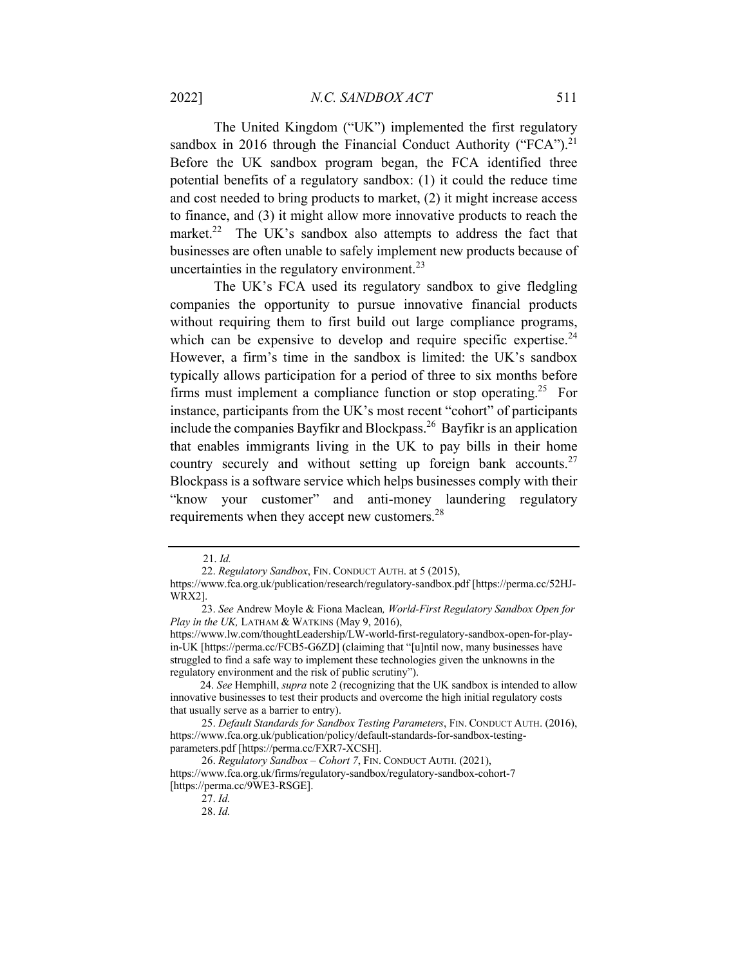The United Kingdom ("UK") implemented the first regulatory sandbox in 2016 through the Financial Conduct Authority ("FCA").<sup>21</sup> Before the UK sandbox program began, the FCA identified three potential benefits of a regulatory sandbox: (1) it could the reduce time and cost needed to bring products to market, (2) it might increase access to finance, and (3) it might allow more innovative products to reach the market.<sup>22</sup> The UK's sandbox also attempts to address the fact that businesses are often unable to safely implement new products because of uncertainties in the regulatory environment. $^{23}$ 

The UK's FCA used its regulatory sandbox to give fledgling companies the opportunity to pursue innovative financial products without requiring them to first build out large compliance programs, which can be expensive to develop and require specific expertise.  $24$ However, a firm's time in the sandbox is limited: the UK's sandbox typically allows participation for a period of three to six months before firms must implement a compliance function or stop operating.<sup>25</sup> For instance, participants from the UK's most recent "cohort" of participants include the companies Bayfikr and Blockpass.26 Bayfikr is an application that enables immigrants living in the UK to pay bills in their home country securely and without setting up foreign bank accounts. $27$ Blockpass is a software service which helps businesses comply with their "know your customer" and anti-money laundering regulatory requirements when they accept new customers.<sup>28</sup>

 <sup>21.</sup> *Id.*

<sup>22.</sup> *Regulatory Sandbox*, FIN. CONDUCT AUTH. at 5 (2015),

https://www.fca.org.uk/publication/research/regulatory-sandbox.pdf [https://perma.cc/52HJ-WRX2].

<sup>23.</sup> *See* Andrew Moyle & Fiona Maclean*, World-First Regulatory Sandbox Open for Play in the UK, LATHAM & WATKINS (May 9, 2016),* 

https://www.lw.com/thoughtLeadership/LW-world-first-regulatory-sandbox-open-for-playin-UK [https://perma.cc/FCB5-G6ZD] (claiming that "[u]ntil now, many businesses have struggled to find a safe way to implement these technologies given the unknowns in the regulatory environment and the risk of public scrutiny").

 <sup>24.</sup> *See* Hemphill, *supra* note 2 (recognizing that the UK sandbox is intended to allow innovative businesses to test their products and overcome the high initial regulatory costs that usually serve as a barrier to entry).

<sup>25.</sup> *Default Standards for Sandbox Testing Parameters*, FIN. CONDUCT AUTH. (2016), https://www.fca.org.uk/publication/policy/default-standards-for-sandbox-testingparameters.pdf [https://perma.cc/FXR7-XCSH].

<sup>26.</sup> *Regulatory Sandbox – Cohort 7*, FIN. CONDUCT AUTH. (2021),

https://www.fca.org.uk/firms/regulatory-sandbox/regulatory-sandbox-cohort-7 [https://perma.cc/9WE3-RSGE].

<sup>27.</sup> *Id.* 

<sup>28.</sup> *Id.*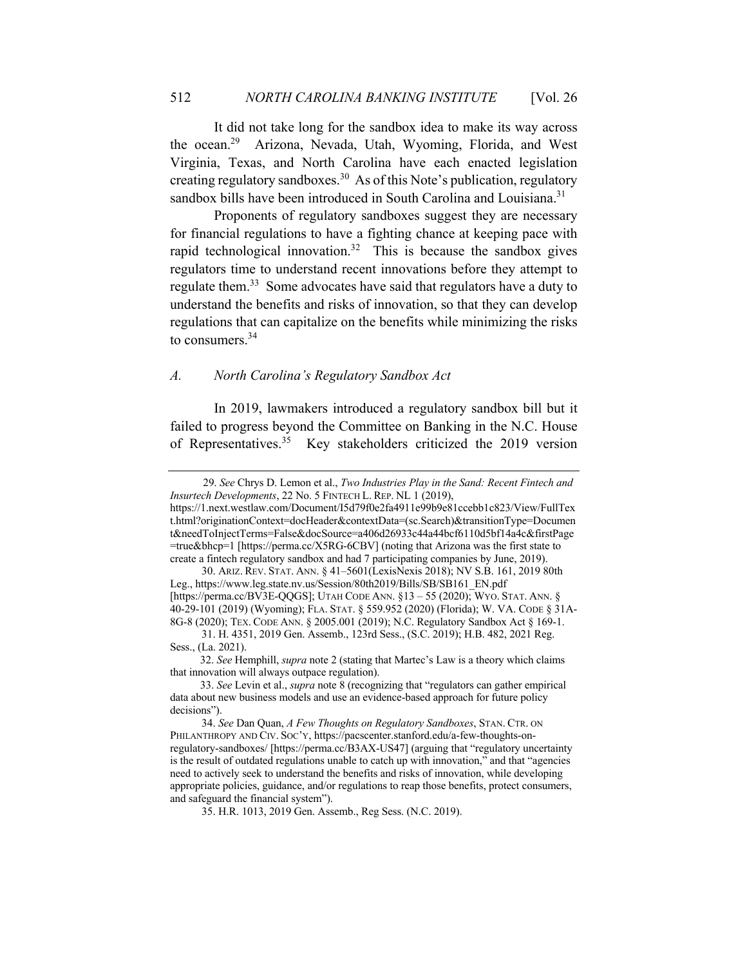It did not take long for the sandbox idea to make its way across the ocean.29 Arizona, Nevada, Utah, Wyoming, Florida, and West Virginia, Texas, and North Carolina have each enacted legislation creating regulatory sandboxes.30 As of this Note's publication, regulatory sandbox bills have been introduced in South Carolina and Louisiana.<sup>31</sup>

Proponents of regulatory sandboxes suggest they are necessary for financial regulations to have a fighting chance at keeping pace with rapid technological innovation.<sup>32</sup> This is because the sandbox gives regulators time to understand recent innovations before they attempt to regulate them.<sup>33</sup> Some advocates have said that regulators have a duty to understand the benefits and risks of innovation, so that they can develop regulations that can capitalize on the benefits while minimizing the risks to consumers.34

# *A. North Carolina's Regulatory Sandbox Act*

In 2019, lawmakers introduced a regulatory sandbox bill but it failed to progress beyond the Committee on Banking in the N.C. House of Representatives.<sup>35</sup> Key stakeholders criticized the 2019 version

 <sup>29.</sup> *See* Chrys D. Lemon et al., *Two Industries Play in the Sand: Recent Fintech and Insurtech Developments*, 22 No. 5 FINTECH L. REP. NL 1 (2019),

https://1.next.westlaw.com/Document/I5d79f0e2fa4911e99b9e81ccebb1c823/View/FullTex t.html?originationContext=docHeader&contextData=(sc.Search)&transitionType=Documen t&needToInjectTerms=False&docSource=a406d26933c44a44bcf6110d5bf14a4c&firstPage =true&bhcp=1 [https://perma.cc/X5RG-6CBV] (noting that Arizona was the first state to create a fintech regulatory sandbox and had 7 participating companies by June, 2019).

<sup>30.</sup> ARIZ. REV. STAT. ANN. § 41–5601(LexisNexis 2018); NV S.B. 161, 2019 80th Leg., https://www.leg.state.nv.us/Session/80th2019/Bills/SB/SB161\_EN.pdf [https://perma.cc/BV3E-QQGS]; UTAH CODE ANN. §13 – 55 (2020); WYO. STAT. ANN. § 40-29-101 (2019) (Wyoming); FLA. STAT. § 559.952 (2020) (Florida); W. VA. CODE § 31A-8G-8 (2020); TEX. CODE ANN. § 2005.001 (2019); N.C. Regulatory Sandbox Act § 169-1.

<sup>31.</sup> H. 4351, 2019 Gen. Assemb., 123rd Sess., (S.C. 2019); H.B. 482, 2021 Reg. Sess., (La. 2021).

 <sup>32.</sup> *See* Hemphill, *supra* note 2 (stating that Martec's Law is a theory which claims that innovation will always outpace regulation).

 <sup>33.</sup> *See* Levin et al., *supra* note 8 (recognizing that "regulators can gather empirical data about new business models and use an evidence-based approach for future policy decisions").

<sup>34.</sup> *See* Dan Quan, *A Few Thoughts on Regulatory Sandboxes*, STAN. CTR. ON PHILANTHROPY AND CIV. SOC'Y, https://pacscenter.stanford.edu/a-few-thoughts-onregulatory-sandboxes/ [https://perma.cc/B3AX-US47] (arguing that "regulatory uncertainty is the result of outdated regulations unable to catch up with innovation," and that "agencies need to actively seek to understand the benefits and risks of innovation, while developing appropriate policies, guidance, and/or regulations to reap those benefits, protect consumers, and safeguard the financial system").

<sup>35.</sup> H.R. 1013, 2019 Gen. Assemb., Reg Sess. (N.C. 2019).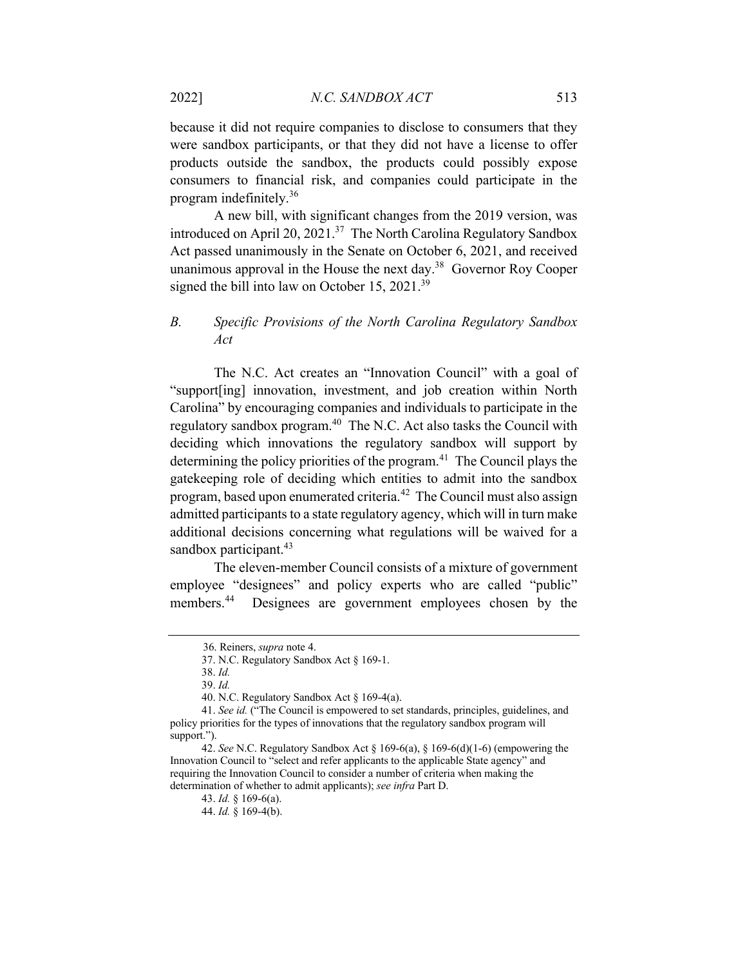because it did not require companies to disclose to consumers that they were sandbox participants, or that they did not have a license to offer products outside the sandbox, the products could possibly expose consumers to financial risk, and companies could participate in the program indefinitely.36

A new bill, with significant changes from the 2019 version, was introduced on April 20, 2021.<sup>37</sup> The North Carolina Regulatory Sandbox Act passed unanimously in the Senate on October 6, 2021, and received unanimous approval in the House the next day.38 Governor Roy Cooper signed the bill into law on October 15, 2021.<sup>39</sup>

# *B. Specific Provisions of the North Carolina Regulatory Sandbox Act*

The N.C. Act creates an "Innovation Council" with a goal of "support[ing] innovation, investment, and job creation within North Carolina" by encouraging companies and individuals to participate in the regulatory sandbox program.<sup>40</sup> The N.C. Act also tasks the Council with deciding which innovations the regulatory sandbox will support by determining the policy priorities of the program.<sup>41</sup> The Council plays the gatekeeping role of deciding which entities to admit into the sandbox program, based upon enumerated criteria.42 The Council must also assign admitted participants to a state regulatory agency, which will in turn make additional decisions concerning what regulations will be waived for a sandbox participant. $43$ 

The eleven-member Council consists of a mixture of government employee "designees" and policy experts who are called "public" members.<sup>44</sup> Designees are government employees chosen by the

 <sup>36.</sup> Reiners, *supra* note 4.

<sup>37.</sup> N.C. Regulatory Sandbox Act § 169-1.

<sup>38.</sup> *Id.* 

<sup>39.</sup> *Id.* 

<sup>40.</sup> N.C. Regulatory Sandbox Act § 169-4(a).

<sup>41.</sup> *See id.* ("The Council is empowered to set standards, principles, guidelines, and policy priorities for the types of innovations that the regulatory sandbox program will support.").

<sup>42.</sup> *See* N.C. Regulatory Sandbox Act § 169-6(a), § 169-6(d)(1-6) (empowering the Innovation Council to "select and refer applicants to the applicable State agency" and requiring the Innovation Council to consider a number of criteria when making the determination of whether to admit applicants); *see infra* Part D.

<sup>43.</sup> *Id.* § 169-6(a).

<sup>44.</sup> *Id.* § 169-4(b).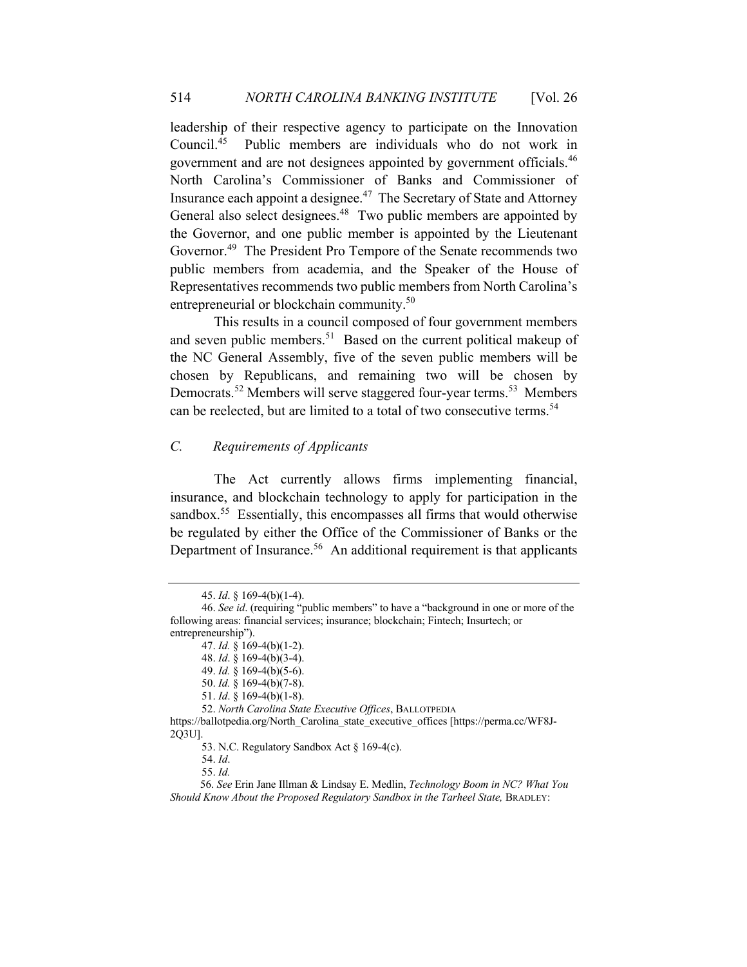leadership of their respective agency to participate on the Innovation Council.45 Public members are individuals who do not work in government and are not designees appointed by government officials.46 North Carolina's Commissioner of Banks and Commissioner of Insurance each appoint a designee.<sup>47</sup> The Secretary of State and Attorney General also select designees.<sup>48</sup> Two public members are appointed by the Governor, and one public member is appointed by the Lieutenant Governor.<sup>49</sup> The President Pro Tempore of the Senate recommends two public members from academia, and the Speaker of the House of Representatives recommends two public members from North Carolina's entrepreneurial or blockchain community.<sup>50</sup>

This results in a council composed of four government members and seven public members.<sup>51</sup> Based on the current political makeup of the NC General Assembly, five of the seven public members will be chosen by Republicans, and remaining two will be chosen by Democrats.<sup>52</sup> Members will serve staggered four-year terms.<sup>53</sup> Members can be reelected, but are limited to a total of two consecutive terms.<sup>54</sup>

# *C. Requirements of Applicants*

The Act currently allows firms implementing financial, insurance, and blockchain technology to apply for participation in the sandbox.<sup>55</sup> Essentially, this encompasses all firms that would otherwise be regulated by either the Office of the Commissioner of Banks or the Department of Insurance.<sup>56</sup> An additional requirement is that applicants

52. *North Carolina State Executive Offices*, BALLOTPEDIA

https://ballotpedia.org/North\_Carolina\_state\_executive\_offices [https://perma.cc/WF8J-2Q3U].

53. N.C. Regulatory Sandbox Act § 169-4(c).

<sup>45.</sup> *Id*. § 169-4(b)(1-4).

<sup>46.</sup> *See id*. (requiring "public members" to have a "background in one or more of the following areas: financial services; insurance; blockchain; Fintech; Insurtech; or entrepreneurship").

<sup>47.</sup> *Id.* § 169-4(b)(1-2).

<sup>48.</sup> *Id*. § 169-4(b)(3-4).

<sup>49.</sup> *Id.* § 169-4(b)(5-6).

<sup>50.</sup> *Id.* § 169-4(b)(7-8).

<sup>51.</sup> *Id*. § 169-4(b)(1-8).

<sup>54.</sup> *Id*.

<sup>55.</sup> *Id.* 

 <sup>56.</sup> *See* Erin Jane Illman & Lindsay E. Medlin, *Technology Boom in NC? What You Should Know About the Proposed Regulatory Sandbox in the Tarheel State,* BRADLEY: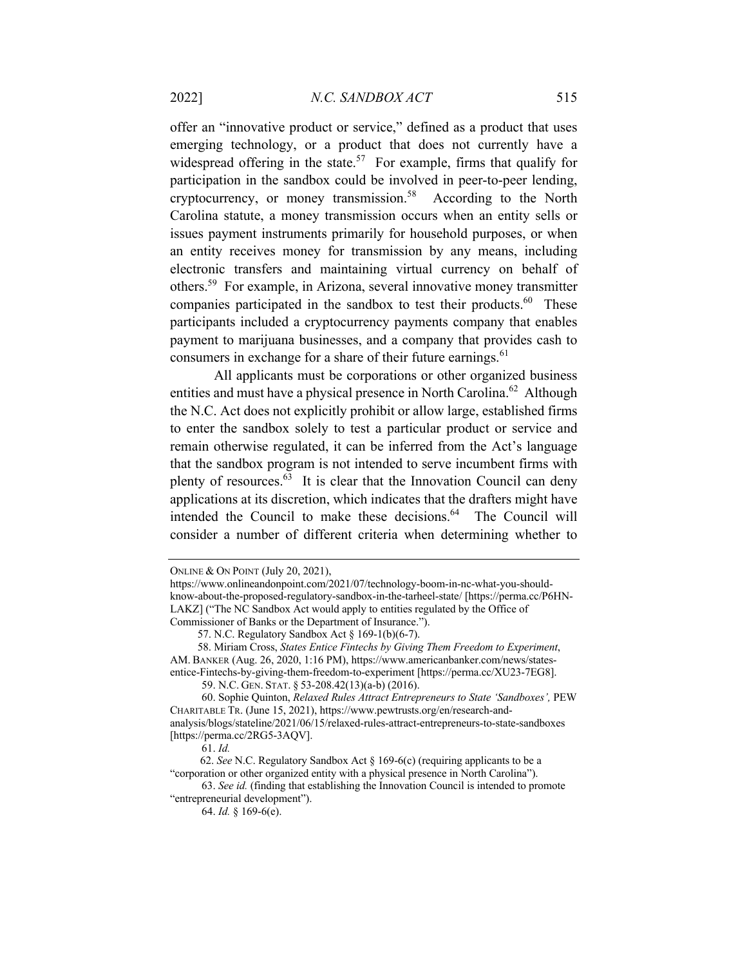offer an "innovative product or service," defined as a product that uses emerging technology, or a product that does not currently have a widespread offering in the state.<sup>57</sup> For example, firms that qualify for participation in the sandbox could be involved in peer-to-peer lending, cryptocurrency, or money transmission.<sup>58</sup> According to the North Carolina statute, a money transmission occurs when an entity sells or issues payment instruments primarily for household purposes, or when an entity receives money for transmission by any means, including electronic transfers and maintaining virtual currency on behalf of others.59 For example, in Arizona, several innovative money transmitter companies participated in the sandbox to test their products.<sup>60</sup> These participants included a cryptocurrency payments company that enables payment to marijuana businesses, and a company that provides cash to consumers in exchange for a share of their future earnings.<sup>61</sup>

All applicants must be corporations or other organized business entities and must have a physical presence in North Carolina.<sup>62</sup> Although the N.C. Act does not explicitly prohibit or allow large, established firms to enter the sandbox solely to test a particular product or service and remain otherwise regulated, it can be inferred from the Act's language that the sandbox program is not intended to serve incumbent firms with plenty of resources. $63$  It is clear that the Innovation Council can deny applications at its discretion, which indicates that the drafters might have intended the Council to make these decisions. $64$  The Council will consider a number of different criteria when determining whether to

63. *See id.* (finding that establishing the Innovation Council is intended to promote "entrepreneurial development").

ONLINE & ON POINT (July 20, 2021),

https://www.onlineandonpoint.com/2021/07/technology-boom-in-nc-what-you-shouldknow-about-the-proposed-regulatory-sandbox-in-the-tarheel-state/ [https://perma.cc/P6HN-LAKZ] ("The NC Sandbox Act would apply to entities regulated by the Office of Commissioner of Banks or the Department of Insurance.").

 <sup>57.</sup> N.C. Regulatory Sandbox Act § 169-1(b)(6-7).

 <sup>58.</sup> Miriam Cross, *States Entice Fintechs by Giving Them Freedom to Experiment*, AM. BANKER (Aug. 26, 2020, 1:16 PM), https://www.americanbanker.com/news/statesentice-Fintechs-by-giving-them-freedom-to-experiment [https://perma.cc/XU23-7EG8].

<sup>59.</sup> N.C. GEN. STAT. § 53-208.42(13)(a-b) (2016).

<sup>60.</sup> Sophie Quinton, *Relaxed Rules Attract Entrepreneurs to State 'Sandboxes',* PEW CHARITABLE TR. (June 15, 2021), https://www.pewtrusts.org/en/research-andanalysis/blogs/stateline/2021/06/15/relaxed-rules-attract-entrepreneurs-to-state-sandboxes [https://perma.cc/2RG5-3AQV].

<sup>61.</sup> *Id.* 

 <sup>62.</sup> *See* N.C. Regulatory Sandbox Act § 169-6(c) (requiring applicants to be a "corporation or other organized entity with a physical presence in North Carolina").

<sup>64.</sup> *Id.* § 169-6(e).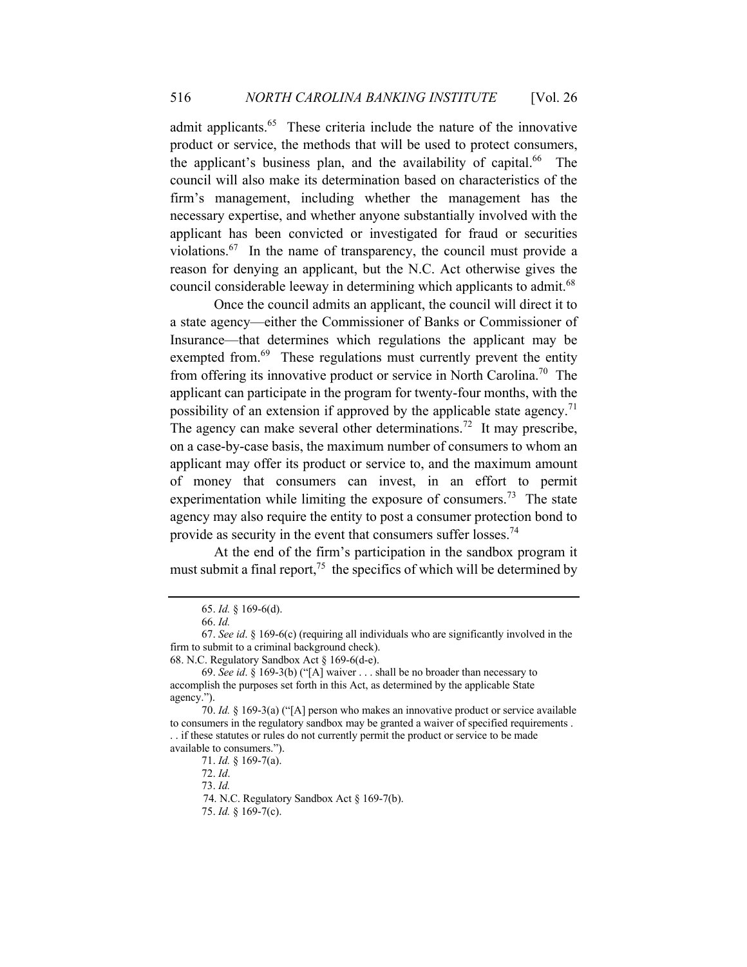admit applicants.65 These criteria include the nature of the innovative product or service, the methods that will be used to protect consumers, the applicant's business plan, and the availability of capital.<sup>66</sup> The council will also make its determination based on characteristics of the firm's management, including whether the management has the necessary expertise, and whether anyone substantially involved with the applicant has been convicted or investigated for fraud or securities violations.<sup>67</sup> In the name of transparency, the council must provide a reason for denying an applicant, but the N.C. Act otherwise gives the council considerable leeway in determining which applicants to admit.<sup>68</sup>

Once the council admits an applicant, the council will direct it to a state agency—either the Commissioner of Banks or Commissioner of Insurance—that determines which regulations the applicant may be exempted from.<sup>69</sup> These regulations must currently prevent the entity from offering its innovative product or service in North Carolina.70 The applicant can participate in the program for twenty-four months, with the possibility of an extension if approved by the applicable state agency.<sup>71</sup> The agency can make several other determinations.<sup>72</sup> It may prescribe, on a case-by-case basis, the maximum number of consumers to whom an applicant may offer its product or service to, and the maximum amount of money that consumers can invest, in an effort to permit experimentation while limiting the exposure of consumers.<sup>73</sup> The state agency may also require the entity to post a consumer protection bond to provide as security in the event that consumers suffer losses.<sup>74</sup>

At the end of the firm's participation in the sandbox program it must submit a final report, $75$  the specifics of which will be determined by

<sup>65.</sup> *Id.* § 169-6(d).

<sup>66.</sup> *Id.* 

<sup>67.</sup> *See id*. § 169-6(c) (requiring all individuals who are significantly involved in the firm to submit to a criminal background check).

<sup>68.</sup> N.C. Regulatory Sandbox Act § 169-6(d-e).

<sup>69.</sup> *See id*. § 169-3(b) ("[A] waiver . . . shall be no broader than necessary to accomplish the purposes set forth in this Act, as determined by the applicable State agency.").

<sup>70.</sup> *Id.* § 169-3(a) ("[A] person who makes an innovative product or service available to consumers in the regulatory sandbox may be granted a waiver of specified requirements . . . if these statutes or rules do not currently permit the product or service to be made available to consumers.").

<sup>71.</sup> *Id.* § 169-7(a).

<sup>72.</sup> *Id*.

<sup>73.</sup> *Id.* 

 <sup>74.</sup> N.C. Regulatory Sandbox Act § 169-7(b).

<sup>75.</sup> *Id.* § 169-7(c).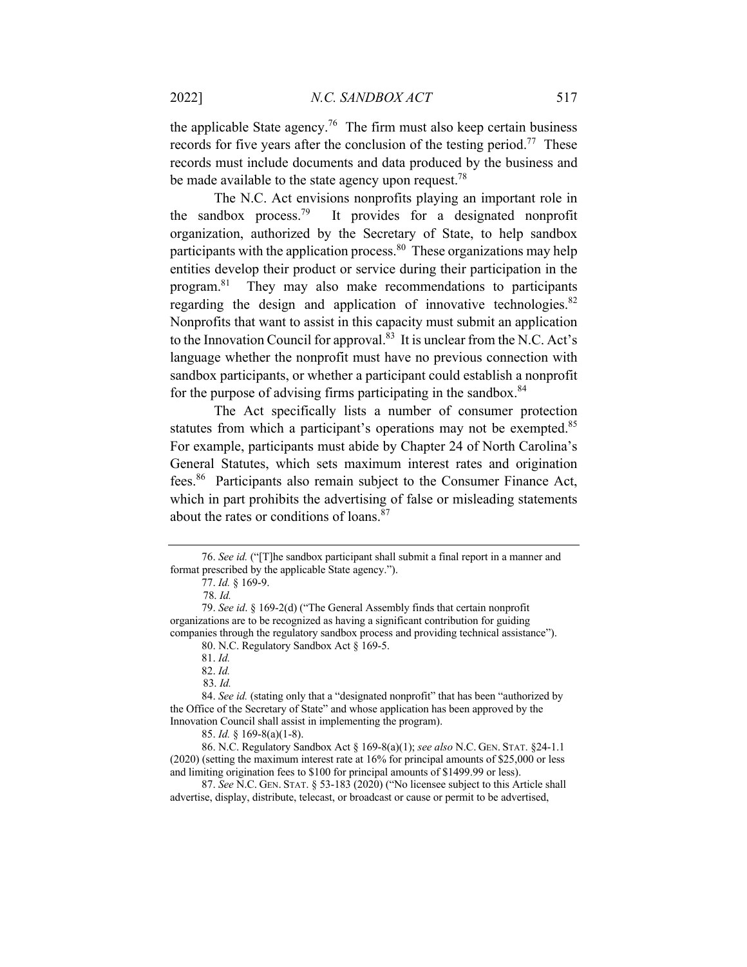the applicable State agency.<sup>76</sup> The firm must also keep certain business records for five years after the conclusion of the testing period.<sup>77</sup> These records must include documents and data produced by the business and be made available to the state agency upon request.<sup>78</sup>

The N.C. Act envisions nonprofits playing an important role in the sandbox process.<sup>79</sup> It provides for a designated nonprofit organization, authorized by the Secretary of State, to help sandbox participants with the application process.  $80$  These organizations may help entities develop their product or service during their participation in the program.81 They may also make recommendations to participants regarding the design and application of innovative technologies. $82$ Nonprofits that want to assist in this capacity must submit an application to the Innovation Council for approval.<sup>83</sup> It is unclear from the N.C. Act's language whether the nonprofit must have no previous connection with sandbox participants, or whether a participant could establish a nonprofit for the purpose of advising firms participating in the sandbox. $84$ 

The Act specifically lists a number of consumer protection statutes from which a participant's operations may not be exempted.<sup>85</sup> For example, participants must abide by Chapter 24 of North Carolina's General Statutes, which sets maximum interest rates and origination fees.86 Participants also remain subject to the Consumer Finance Act, which in part prohibits the advertising of false or misleading statements about the rates or conditions of loans.<sup>87</sup>

<sup>76.</sup> *See id.* ("[T]he sandbox participant shall submit a final report in a manner and format prescribed by the applicable State agency.").

<sup>77.</sup> *Id.* § 169-9.

 <sup>78.</sup> *Id.* 

<sup>79.</sup> *See id*. § 169-2(d) ("The General Assembly finds that certain nonprofit organizations are to be recognized as having a significant contribution for guiding companies through the regulatory sandbox process and providing technical assistance").

<sup>80.</sup> N.C. Regulatory Sandbox Act § 169-5.

<sup>81.</sup> *Id.* 

<sup>82.</sup> *Id.* 

 <sup>83.</sup> *Id.* 

<sup>84.</sup> *See id.* (stating only that a "designated nonprofit" that has been "authorized by the Office of the Secretary of State" and whose application has been approved by the Innovation Council shall assist in implementing the program).

<sup>85.</sup> *Id.* § 169-8(a)(1-8).

<sup>86.</sup> N.C. Regulatory Sandbox Act § 169-8(a)(1); *see also* N.C. GEN. STAT. §24-1.1 (2020) (setting the maximum interest rate at 16% for principal amounts of \$25,000 or less and limiting origination fees to \$100 for principal amounts of \$1499.99 or less).

<sup>87.</sup> *See* N.C. GEN. STAT. § 53-183 (2020) ("No licensee subject to this Article shall advertise, display, distribute, telecast, or broadcast or cause or permit to be advertised,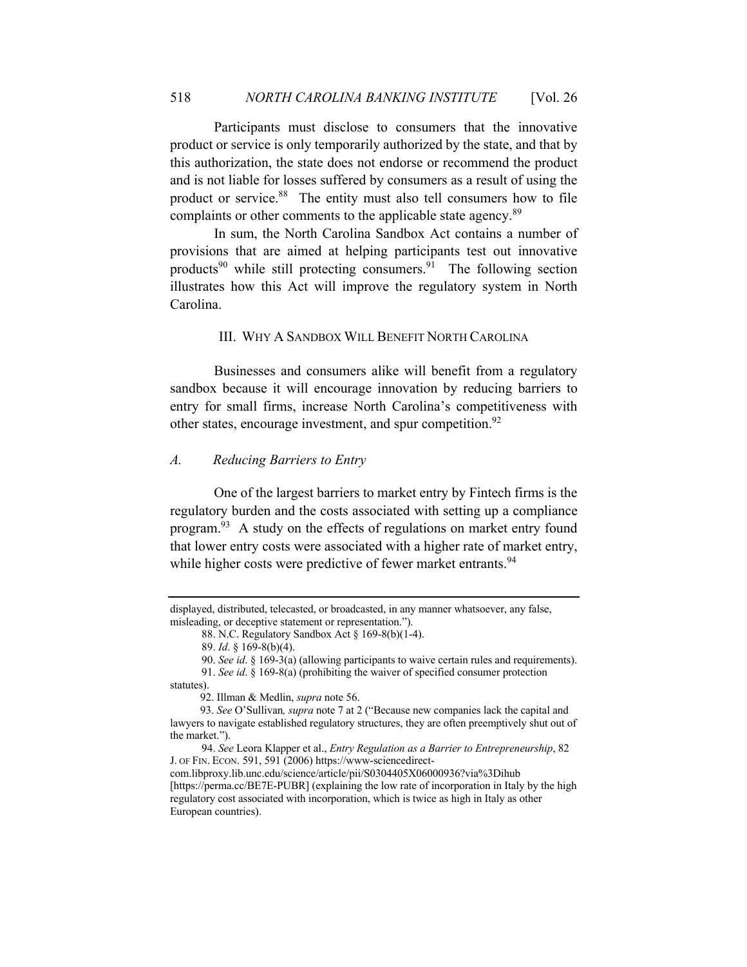Participants must disclose to consumers that the innovative product or service is only temporarily authorized by the state, and that by this authorization, the state does not endorse or recommend the product and is not liable for losses suffered by consumers as a result of using the product or service.<sup>88</sup> The entity must also tell consumers how to file complaints or other comments to the applicable state agency.<sup>89</sup>

In sum, the North Carolina Sandbox Act contains a number of provisions that are aimed at helping participants test out innovative products<sup>90</sup> while still protecting consumers.<sup>91</sup> The following section illustrates how this Act will improve the regulatory system in North Carolina.

# III. WHY A SANDBOX WILL BENEFIT NORTH CAROLINA

Businesses and consumers alike will benefit from a regulatory sandbox because it will encourage innovation by reducing barriers to entry for small firms, increase North Carolina's competitiveness with other states, encourage investment, and spur competition.<sup>92</sup>

# *A. Reducing Barriers to Entry*

One of the largest barriers to market entry by Fintech firms is the regulatory burden and the costs associated with setting up a compliance program.93 A study on the effects of regulations on market entry found that lower entry costs were associated with a higher rate of market entry, while higher costs were predictive of fewer market entrants.<sup>94</sup>

displayed, distributed, telecasted, or broadcasted, in any manner whatsoever, any false, misleading, or deceptive statement or representation.").

<sup>88.</sup> N.C. Regulatory Sandbox Act § 169-8(b)(1-4).

<sup>89.</sup> *Id*. § 169-8(b)(4).

<sup>90.</sup> *See id*. § 169-3(a) (allowing participants to waive certain rules and requirements).

<sup>91.</sup> *See id*. § 169-8(a) (prohibiting the waiver of specified consumer protection

statutes).

 <sup>92.</sup> Illman & Medlin, *supra* note 56.

 <sup>93.</sup> *See* O'Sullivan*, supra* note 7 at 2 ("Because new companies lack the capital and lawyers to navigate established regulatory structures, they are often preemptively shut out of the market.").

<sup>94.</sup> *See* Leora Klapper et al., *Entry Regulation as a Barrier to Entrepreneurship*, 82 J. OF FIN. ECON. 591, 591 (2006) https://www-sciencedirectcom.libproxy.lib.unc.edu/science/article/pii/S0304405X06000936?via%3Dihub [https://perma.cc/BE7E-PUBR] (explaining the low rate of incorporation in Italy by the high regulatory cost associated with incorporation, which is twice as high in Italy as other

European countries).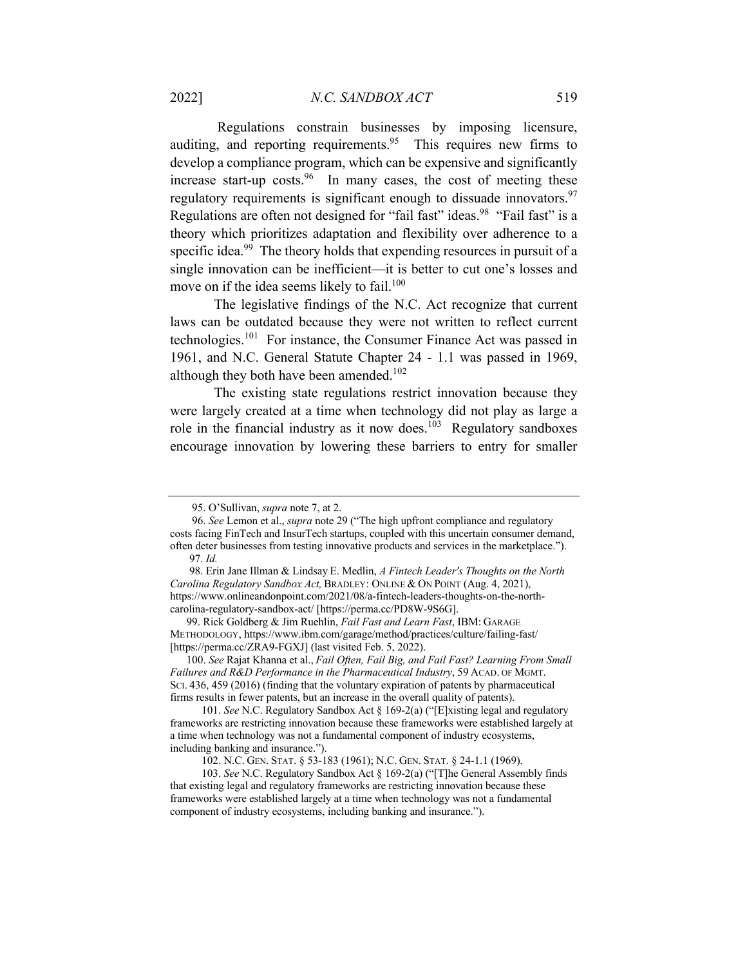Regulations constrain businesses by imposing licensure, auditing, and reporting requirements.<sup>95</sup> This requires new firms to develop a compliance program, which can be expensive and significantly increase start-up costs. <sup>96</sup> In many cases, the cost of meeting these regulatory requirements is significant enough to dissuade innovators.<sup>97</sup> Regulations are often not designed for "fail fast" ideas.<sup>98</sup> "Fail fast" is a theory which prioritizes adaptation and flexibility over adherence to a specific idea.<sup>99</sup> The theory holds that expending resources in pursuit of a single innovation can be inefficient—it is better to cut one's losses and move on if the idea seems likely to fail.<sup>100</sup>

The legislative findings of the N.C. Act recognize that current laws can be outdated because they were not written to reflect current technologies.101 For instance, the Consumer Finance Act was passed in 1961, and N.C. General Statute Chapter 24 - 1.1 was passed in 1969, although they both have been amended.<sup>102</sup>

The existing state regulations restrict innovation because they were largely created at a time when technology did not play as large a role in the financial industry as it now does. $103$  Regulatory sandboxes encourage innovation by lowering these barriers to entry for smaller

 <sup>95.</sup> O'Sullivan, *supra* note 7, at 2.

 <sup>96.</sup> *See* Lemon et al., *supra* note 29 ("The high upfront compliance and regulatory costs facing FinTech and InsurTech startups, coupled with this uncertain consumer demand, often deter businesses from testing innovative products and services in the marketplace."). 97. *Id.* 

 <sup>98.</sup> Erin Jane Illman & Lindsay E. Medlin, *A Fintech Leader's Thoughts on the North Carolina Regulatory Sandbox Act,* BRADLEY: ONLINE & ON POINT (Aug. 4, 2021), https://www.onlineandonpoint.com/2021/08/a-fintech-leaders-thoughts-on-the-northcarolina-regulatory-sandbox-act/ [https://perma.cc/PD8W-9S6G].

 <sup>99.</sup> Rick Goldberg & Jim Ruehlin, *Fail Fast and Learn Fast*, IBM: GARAGE METHODOLOGY, https://www.ibm.com/garage/method/practices/culture/failing-fast/ [https://perma.cc/ZRA9-FGXJ] (last visited Feb. 5, 2022).

 <sup>100.</sup> *See* Rajat Khanna et al., *Fail Often, Fail Big, and Fail Fast? Learning From Small Failures and R&D Performance in the Pharmaceutical Industry*, 59 ACAD. OF MGMT. SCI. 436, 459 (2016) (finding that the voluntary expiration of patents by pharmaceutical firms results in fewer patents, but an increase in the overall quality of patents).

<sup>101.</sup> *See* N.C. Regulatory Sandbox Act § 169-2(a) ("[E]xisting legal and regulatory frameworks are restricting innovation because these frameworks were established largely at a time when technology was not a fundamental component of industry ecosystems, including banking and insurance.").

<sup>102.</sup> N.C. GEN. STAT. § 53-183 (1961); N.C. GEN. STAT. § 24-1.1 (1969).

<sup>103.</sup> *See* N.C. Regulatory Sandbox Act § 169-2(a) ("[T]he General Assembly finds that existing legal and regulatory frameworks are restricting innovation because these frameworks were established largely at a time when technology was not a fundamental component of industry ecosystems, including banking and insurance.").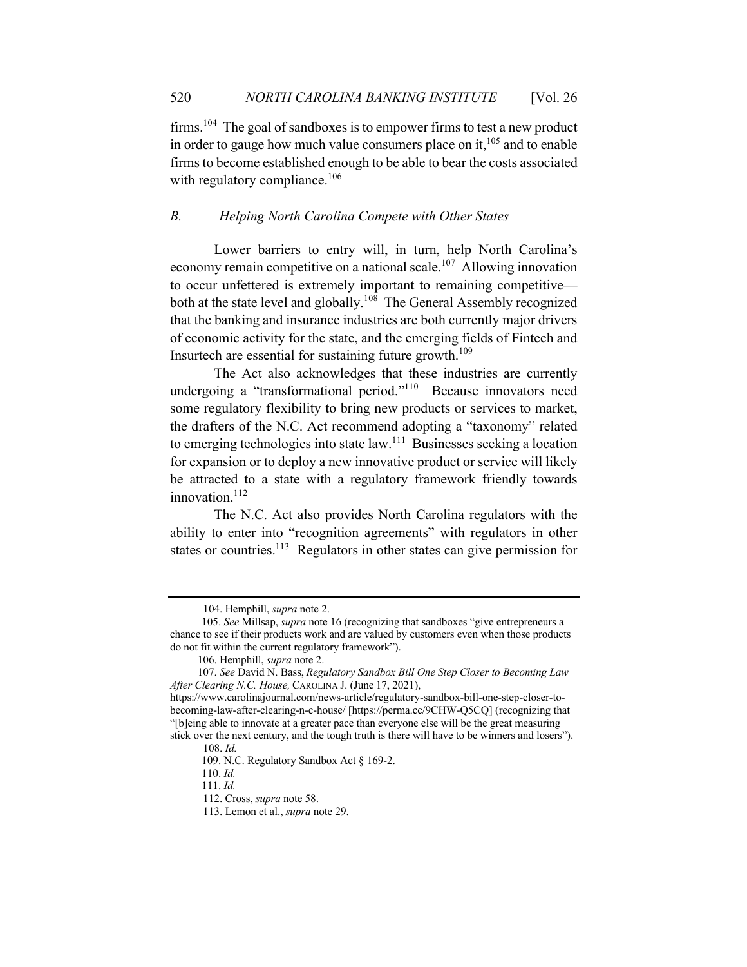firms.104 The goal of sandboxes is to empower firms to test a new product in order to gauge how much value consumers place on it,  $105$  and to enable firms to become established enough to be able to bear the costs associated with regulatory compliance.<sup>106</sup>

# *B. Helping North Carolina Compete with Other States*

Lower barriers to entry will, in turn, help North Carolina's economy remain competitive on a national scale.<sup>107</sup> Allowing innovation to occur unfettered is extremely important to remaining competitive both at the state level and globally.<sup>108</sup> The General Assembly recognized that the banking and insurance industries are both currently major drivers of economic activity for the state, and the emerging fields of Fintech and Insurtech are essential for sustaining future growth.<sup>109</sup>

The Act also acknowledges that these industries are currently undergoing a "transformational period."<sup>110</sup> Because innovators need some regulatory flexibility to bring new products or services to market, the drafters of the N.C. Act recommend adopting a "taxonomy" related to emerging technologies into state law.111 Businesses seeking a location for expansion or to deploy a new innovative product or service will likely be attracted to a state with a regulatory framework friendly towards innovation.<sup>112</sup>

The N.C. Act also provides North Carolina regulators with the ability to enter into "recognition agreements" with regulators in other states or countries.<sup>113</sup> Regulators in other states can give permission for

 <sup>104.</sup> Hemphill, *supra* note 2.

<sup>105.</sup> *See* Millsap, *supra* note 16 (recognizing that sandboxes "give entrepreneurs a chance to see if their products work and are valued by customers even when those products do not fit within the current regulatory framework").

 <sup>106.</sup> Hemphill, *supra* note 2.

 <sup>107.</sup> *See* David N. Bass, *Regulatory Sandbox Bill One Step Closer to Becoming Law After Clearing N.C. House,*CAROLINA J. (June 17, 2021),

https://www.carolinajournal.com/news-article/regulatory-sandbox-bill-one-step-closer-tobecoming-law-after-clearing-n-c-house/ [https://perma.cc/9CHW-Q5CQ] (recognizing that "[b]eing able to innovate at a greater pace than everyone else will be the great measuring stick over the next century, and the tough truth is there will have to be winners and losers").

 <sup>108.</sup> *Id.* 

<sup>109.</sup> N.C. Regulatory Sandbox Act § 169-2.

<sup>110.</sup> *Id.* 

<sup>111.</sup> *Id.* 

 <sup>112.</sup> Cross, *supra* note 58.

 <sup>113.</sup> Lemon et al., *supra* note 29.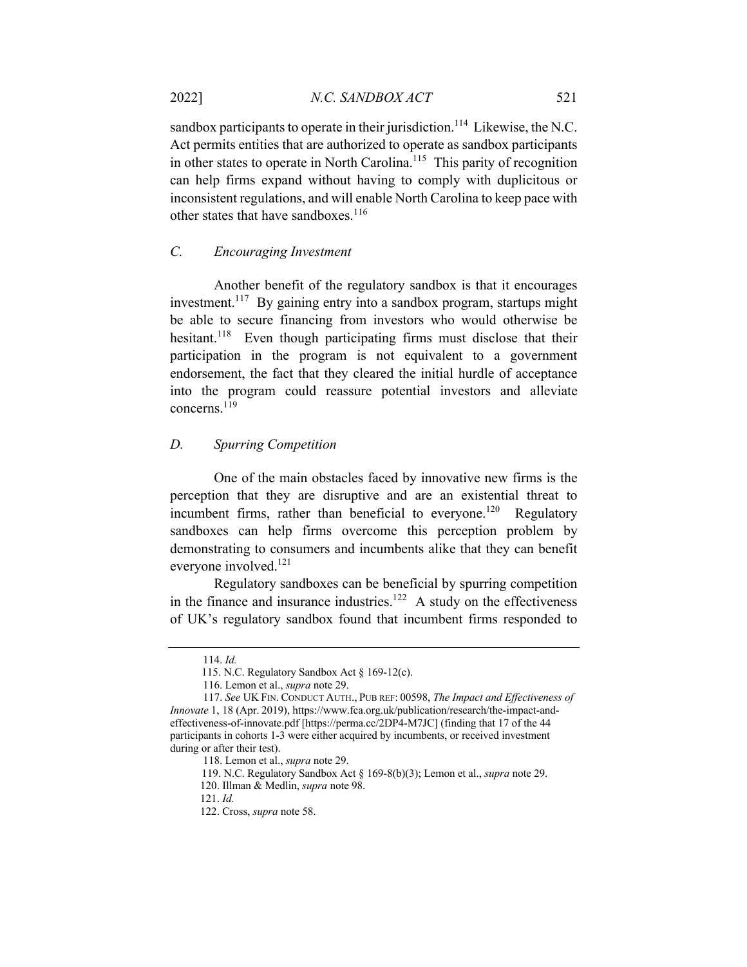sandbox participants to operate in their jurisdiction.<sup>114</sup> Likewise, the N.C. Act permits entities that are authorized to operate as sandbox participants in other states to operate in North Carolina.<sup>115</sup> This parity of recognition can help firms expand without having to comply with duplicitous or inconsistent regulations, and will enable North Carolina to keep pace with other states that have sandboxes.<sup>116</sup>

# *C. Encouraging Investment*

Another benefit of the regulatory sandbox is that it encourages investment.<sup>117</sup> By gaining entry into a sandbox program, startups might be able to secure financing from investors who would otherwise be hesitant.<sup>118</sup> Even though participating firms must disclose that their participation in the program is not equivalent to a government endorsement, the fact that they cleared the initial hurdle of acceptance into the program could reassure potential investors and alleviate concerns.119

# *D. Spurring Competition*

One of the main obstacles faced by innovative new firms is the perception that they are disruptive and are an existential threat to incumbent firms, rather than beneficial to everyone.<sup>120</sup> Regulatory sandboxes can help firms overcome this perception problem by demonstrating to consumers and incumbents alike that they can benefit everyone involved.121

Regulatory sandboxes can be beneficial by spurring competition in the finance and insurance industries.<sup>122</sup> A study on the effectiveness of UK's regulatory sandbox found that incumbent firms responded to

 <sup>114.</sup> *Id.* 

<sup>115.</sup> N.C. Regulatory Sandbox Act § 169-12(c).

 <sup>116.</sup> Lemon et al., *supra* note 29.

 <sup>117.</sup> *See* UK FIN. CONDUCT AUTH., PUB REF: 00598, *The Impact and Effectiveness of Innovate* 1, 18 (Apr. 2019), https://www.fca.org.uk/publication/research/the-impact-andeffectiveness-of-innovate.pdf [https://perma.cc/2DP4-M7JC] (finding that 17 of the 44 participants in cohorts 1-3 were either acquired by incumbents, or received investment during or after their test).

 <sup>118.</sup> Lemon et al., *supra* note 29.

<sup>119.</sup> N.C. Regulatory Sandbox Act § 169-8(b)(3); Lemon et al., *supra* note 29. 120. Illman & Medlin, *supra* note 98.

 <sup>121.</sup> *Id.* 

 <sup>122.</sup> Cross, *supra* note 58.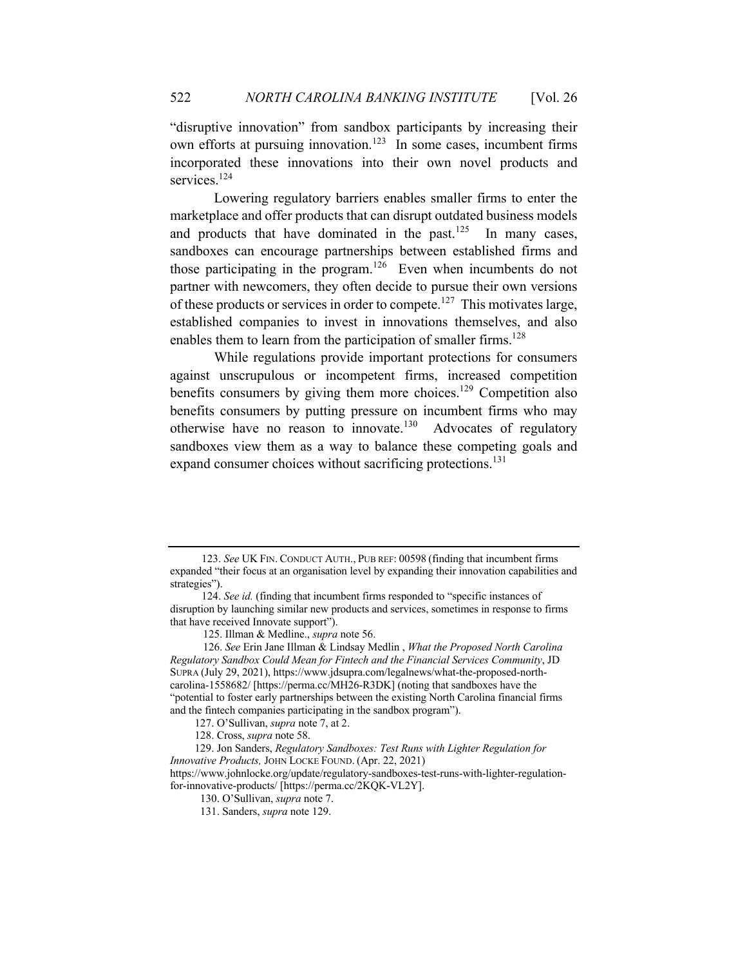"disruptive innovation" from sandbox participants by increasing their own efforts at pursuing innovation.<sup>123</sup> In some cases, incumbent firms incorporated these innovations into their own novel products and services.<sup>124</sup>

Lowering regulatory barriers enables smaller firms to enter the marketplace and offer products that can disrupt outdated business models and products that have dominated in the past. $125$  In many cases, sandboxes can encourage partnerships between established firms and those participating in the program.126 Even when incumbents do not partner with newcomers, they often decide to pursue their own versions of these products or services in order to compete.<sup>127</sup> This motivates large, established companies to invest in innovations themselves, and also enables them to learn from the participation of smaller firms.<sup>128</sup>

While regulations provide important protections for consumers against unscrupulous or incompetent firms, increased competition benefits consumers by giving them more choices.<sup>129</sup> Competition also benefits consumers by putting pressure on incumbent firms who may otherwise have no reason to innovate.<sup>130</sup> Advocates of regulatory sandboxes view them as a way to balance these competing goals and expand consumer choices without sacrificing protections.<sup>131</sup>

<sup>123.</sup> *See* UK FIN. CONDUCT AUTH., PUB REF: 00598 (finding that incumbent firms expanded "their focus at an organisation level by expanding their innovation capabilities and strategies").

<sup>124.</sup> *See id.* (finding that incumbent firms responded to "specific instances of disruption by launching similar new products and services, sometimes in response to firms that have received Innovate support").

 <sup>125.</sup> Illman & Medline., *supra* note 56.

 <sup>126.</sup> *See* Erin Jane Illman & Lindsay Medlin , *What the Proposed North Carolina Regulatory Sandbox Could Mean for Fintech and the Financial Services Community*, JD SUPRA (July 29, 2021), https://www.jdsupra.com/legalnews/what-the-proposed-northcarolina-1558682/ [https://perma.cc/MH26-R3DK] (noting that sandboxes have the "potential to foster early partnerships between the existing North Carolina financial firms and the fintech companies participating in the sandbox program").

 <sup>127.</sup> O'Sullivan, *supra* note 7, at 2.

 <sup>128.</sup> Cross, *supra* note 58.

 <sup>129.</sup> Jon Sanders, *Regulatory Sandboxes: Test Runs with Lighter Regulation for Innovative Products,* JOHN LOCKE FOUND. (Apr. 22, 2021)

https://www.johnlocke.org/update/regulatory-sandboxes-test-runs-with-lighter-regulationfor-innovative-products/ [https://perma.cc/2KQK-VL2Y].

 <sup>130.</sup> O'Sullivan, *supra* note 7.

 <sup>131.</sup> Sanders, *supra* note 129.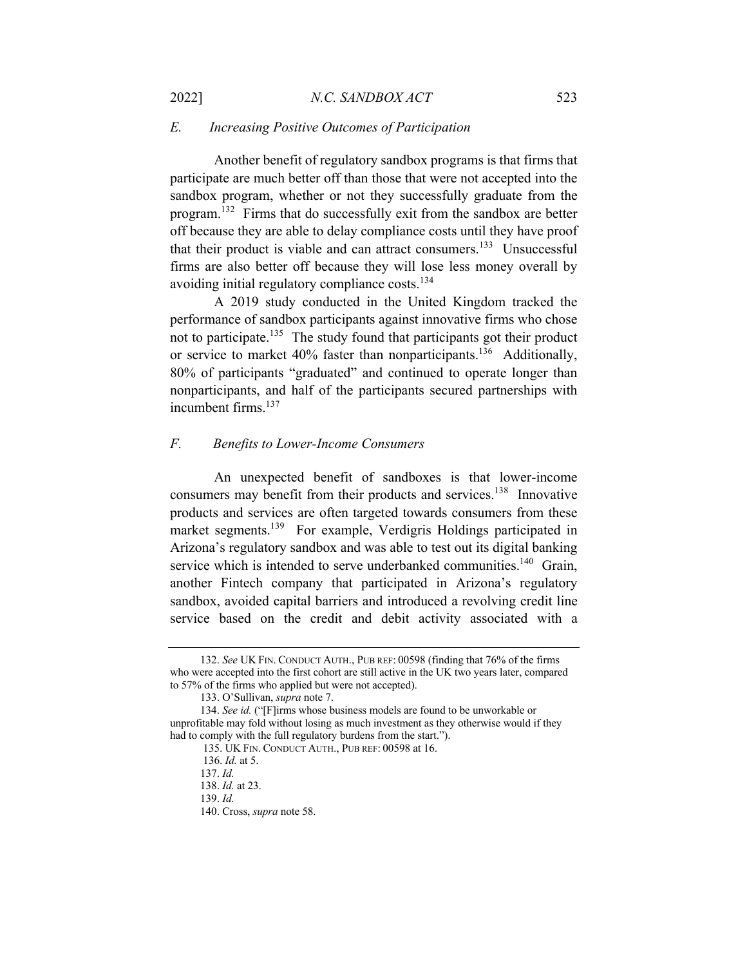# *E. Increasing Positive Outcomes of Participation*

Another benefit of regulatory sandbox programs is that firms that participate are much better off than those that were not accepted into the sandbox program, whether or not they successfully graduate from the program.132 Firms that do successfully exit from the sandbox are better off because they are able to delay compliance costs until they have proof that their product is viable and can attract consumers.<sup>133</sup> Unsuccessful firms are also better off because they will lose less money overall by avoiding initial regulatory compliance costs.<sup>134</sup>

A 2019 study conducted in the United Kingdom tracked the performance of sandbox participants against innovative firms who chose not to participate.<sup>135</sup> The study found that participants got their product or service to market 40% faster than nonparticipants.<sup>136</sup> Additionally, 80% of participants "graduated" and continued to operate longer than nonparticipants, and half of the participants secured partnerships with incumbent firms. 137

# *F. Benefits to Lower-Income Consumers*

An unexpected benefit of sandboxes is that lower-income consumers may benefit from their products and services.<sup>138</sup> Innovative products and services are often targeted towards consumers from these market segments.<sup>139</sup> For example, Verdigris Holdings participated in Arizona's regulatory sandbox and was able to test out its digital banking service which is intended to serve underbanked communities.<sup>140</sup> Grain, another Fintech company that participated in Arizona's regulatory sandbox, avoided capital barriers and introduced a revolving credit line service based on the credit and debit activity associated with a

 <sup>132.</sup> *See* UK FIN. CONDUCT AUTH., PUB REF: 00598 (finding that 76% of the firms who were accepted into the first cohort are still active in the UK two years later, compared to 57% of the firms who applied but were not accepted).

 <sup>133.</sup> O'Sullivan, *supra* note 7.

 <sup>134.</sup> *See id.* ("[F]irms whose business models are found to be unworkable or unprofitable may fold without losing as much investment as they otherwise would if they had to comply with the full regulatory burdens from the start.").

 <sup>135.</sup> UK FIN. CONDUCT AUTH., PUB REF: 00598 at 16.

 <sup>136.</sup> *Id.* at 5.

 <sup>137.</sup> *Id.* 

 <sup>138.</sup> *Id.* at 23.

 <sup>139.</sup> *Id.* 

 <sup>140.</sup> Cross, *supra* note 58.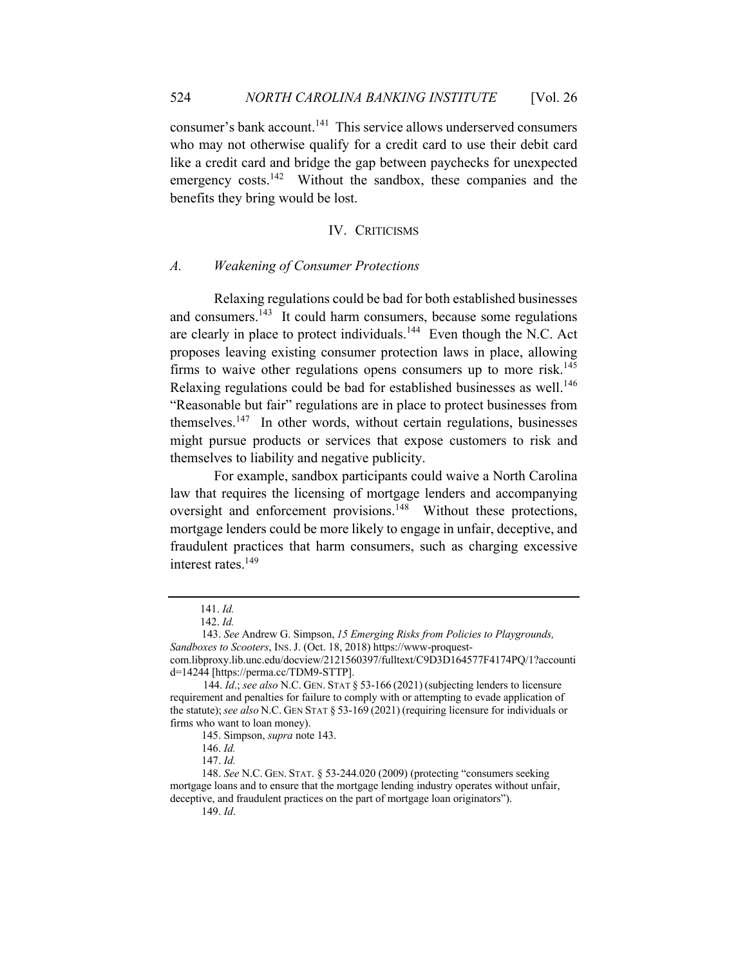consumer's bank account.<sup>141</sup> This service allows underserved consumers who may not otherwise qualify for a credit card to use their debit card like a credit card and bridge the gap between paychecks for unexpected emergency costs. $142$  Without the sandbox, these companies and the benefits they bring would be lost.

#### IV. CRITICISMS

#### *A. Weakening of Consumer Protections*

Relaxing regulations could be bad for both established businesses and consumers.<sup>143</sup> It could harm consumers, because some regulations are clearly in place to protect individuals.<sup>144</sup> Even though the N.C. Act proposes leaving existing consumer protection laws in place, allowing firms to waive other regulations opens consumers up to more risk.<sup>145</sup> Relaxing regulations could be bad for established businesses as well.<sup>146</sup> "Reasonable but fair" regulations are in place to protect businesses from themselves.<sup>147</sup> In other words, without certain regulations, businesses might pursue products or services that expose customers to risk and themselves to liability and negative publicity.

For example, sandbox participants could waive a North Carolina law that requires the licensing of mortgage lenders and accompanying oversight and enforcement provisions.<sup>148</sup> Without these protections, mortgage lenders could be more likely to engage in unfair, deceptive, and fraudulent practices that harm consumers, such as charging excessive interest rates.<sup>149</sup>

 <sup>141.</sup> *Id.* 

 <sup>142.</sup> *Id.* 

<sup>143.</sup> *See* Andrew G. Simpson, *15 Emerging Risks from Policies to Playgrounds, Sandboxes to Scooters*, INS.J. (Oct. 18, 2018) https://www-proquestcom.libproxy.lib.unc.edu/docview/2121560397/fulltext/C9D3D164577F4174PQ/1?accounti d=14244 [https://perma.cc/TDM9-STTP].

 <sup>144.</sup> *Id*.; *see also* N.C. GEN. STAT § 53-166 (2021) (subjecting lenders to licensure requirement and penalties for failure to comply with or attempting to evade application of the statute);*see also* N.C. GEN STAT § 53-169 (2021) (requiring licensure for individuals or firms who want to loan money).

<sup>145.</sup> Simpson, *supra* note 143.

<sup>146.</sup> *Id.* 

<sup>147.</sup> *Id.* 

<sup>148.</sup> *See* N.C. GEN. STAT. § 53-244.020 (2009) (protecting "consumers seeking mortgage loans and to ensure that the mortgage lending industry operates without unfair, deceptive, and fraudulent practices on the part of mortgage loan originators").

<sup>149.</sup> *Id*.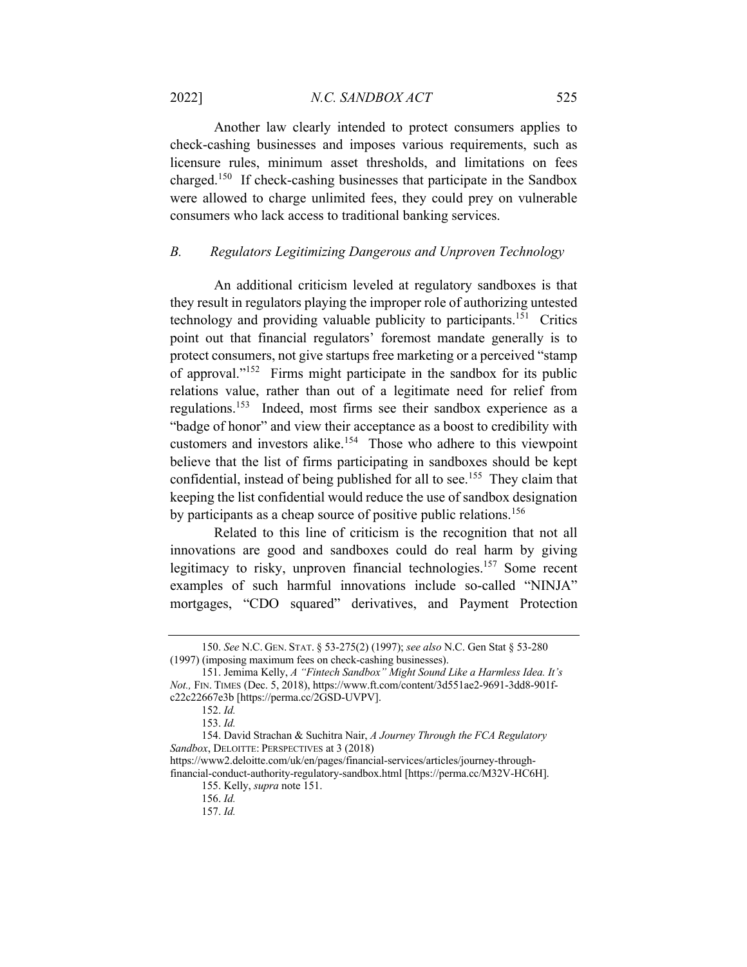Another law clearly intended to protect consumers applies to check-cashing businesses and imposes various requirements, such as licensure rules, minimum asset thresholds, and limitations on fees charged.150 If check-cashing businesses that participate in the Sandbox were allowed to charge unlimited fees, they could prey on vulnerable consumers who lack access to traditional banking services.

# *B. Regulators Legitimizing Dangerous and Unproven Technology*

An additional criticism leveled at regulatory sandboxes is that they result in regulators playing the improper role of authorizing untested technology and providing valuable publicity to participants.<sup>151</sup> Critics point out that financial regulators' foremost mandate generally is to protect consumers, not give startups free marketing or a perceived "stamp of approval."152 Firms might participate in the sandbox for its public relations value, rather than out of a legitimate need for relief from regulations.<sup>153</sup> Indeed, most firms see their sandbox experience as a "badge of honor" and view their acceptance as a boost to credibility with customers and investors alike.<sup>154</sup> Those who adhere to this viewpoint believe that the list of firms participating in sandboxes should be kept confidential, instead of being published for all to see.<sup>155</sup> They claim that keeping the list confidential would reduce the use of sandbox designation by participants as a cheap source of positive public relations.<sup>156</sup>

Related to this line of criticism is the recognition that not all innovations are good and sandboxes could do real harm by giving legitimacy to risky, unproven financial technologies.<sup>157</sup> Some recent examples of such harmful innovations include so-called "NINJA" mortgages, "CDO squared" derivatives, and Payment Protection

<sup>150.</sup> *See* N.C. GEN. STAT. § 53-275(2) (1997); *see also* N.C. Gen Stat § 53-280 (1997) (imposing maximum fees on check-cashing businesses).

<sup>151.</sup> Jemima Kelly, *A "Fintech Sandbox" Might Sound Like a Harmless Idea. It's Not.,* FIN. TIMES (Dec. 5, 2018), https://www.ft.com/content/3d551ae2-9691-3dd8-901fc22c22667e3b [https://perma.cc/2GSD-UVPV].

<sup>152.</sup> *Id.* 

<sup>153.</sup> *Id.* 

<sup>154.</sup> David Strachan & Suchitra Nair, *A Journey Through the FCA Regulatory Sandbox*, DELOITTE: PERSPECTIVES at 3 (2018)

https://www2.deloitte.com/uk/en/pages/financial-services/articles/journey-through-

financial-conduct-authority-regulatory-sandbox.html [https://perma.cc/M32V-HC6H]. 155. Kelly, *supra* note 151.

<sup>156.</sup> *Id.* 

<sup>157.</sup> *Id.*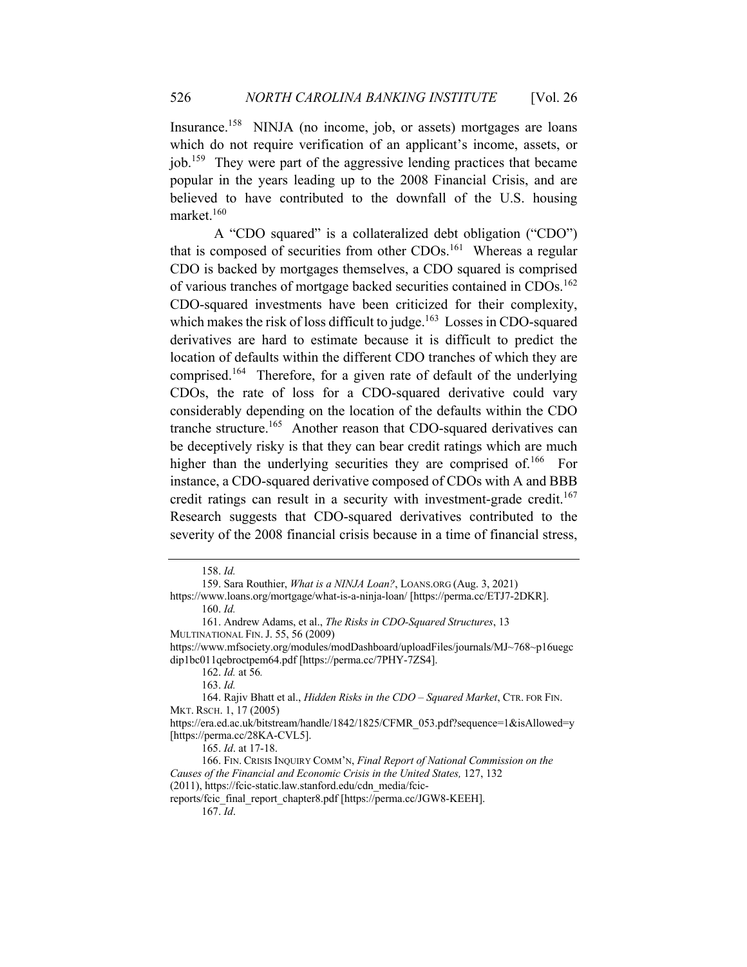Insurance.<sup>158</sup> NINJA (no income, job, or assets) mortgages are loans which do not require verification of an applicant's income, assets, or job.159 They were part of the aggressive lending practices that became popular in the years leading up to the 2008 Financial Crisis, and are believed to have contributed to the downfall of the U.S. housing market.160

A "CDO squared" is a collateralized debt obligation ("CDO") that is composed of securities from other CDOs.<sup>161</sup> Whereas a regular CDO is backed by mortgages themselves, a CDO squared is comprised of various tranches of mortgage backed securities contained in CDOs.<sup>162</sup> CDO-squared investments have been criticized for their complexity, which makes the risk of loss difficult to judge.<sup>163</sup> Losses in CDO-squared derivatives are hard to estimate because it is difficult to predict the location of defaults within the different CDO tranches of which they are comprised.<sup>164</sup> Therefore, for a given rate of default of the underlying CDOs, the rate of loss for a CDO-squared derivative could vary considerably depending on the location of the defaults within the CDO tranche structure.<sup>165</sup> Another reason that CDO-squared derivatives can be deceptively risky is that they can bear credit ratings which are much higher than the underlying securities they are comprised of.<sup>166</sup> For instance, a CDO-squared derivative composed of CDOs with A and BBB credit ratings can result in a security with investment-grade credit.<sup>167</sup> Research suggests that CDO-squared derivatives contributed to the severity of the 2008 financial crisis because in a time of financial stress,

162. *Id.* at 56*.*

164. Rajiv Bhatt et al., *Hidden Risks in the CDO – Squared Market*, CTR. FOR FIN. MKT. RSCH. 1, 17 (2005)

https://era.ed.ac.uk/bitstream/handle/1842/1825/CFMR\_053.pdf?sequence=1&isAllowed=y [https://perma.cc/28KA-CVL5].

165. *Id*. at 17-18.

166. FIN. CRISIS INQUIRY COMM'N, *Final Report of National Commission on the Causes of the Financial and Economic Crisis in the United States,* 127, 132 (2011), https://fcic-static.law.stanford.edu/cdn\_media/fcic-

reports/fcic\_final\_report\_chapter8.pdf [https://perma.cc/JGW8-KEEH].

167. *Id*.

<sup>158.</sup> *Id.* 

<sup>159.</sup> Sara Routhier, *What is a NINJA Loan?*, LOANS.ORG (Aug. 3, 2021) https://www.loans.org/mortgage/what-is-a-ninja-loan/ [https://perma.cc/ETJ7-2DKR].

<sup>160.</sup> *Id.* 

<sup>161.</sup> Andrew Adams, et al., *The Risks in CDO-Squared Structures*, 13 MULTINATIONAL FIN.J. 55, 56 (2009)

https://www.mfsociety.org/modules/modDashboard/uploadFiles/journals/MJ~768~p16uegc dip1bc011qebroctpem64.pdf [https://perma.cc/7PHY-7ZS4].

<sup>163.</sup> *Id.*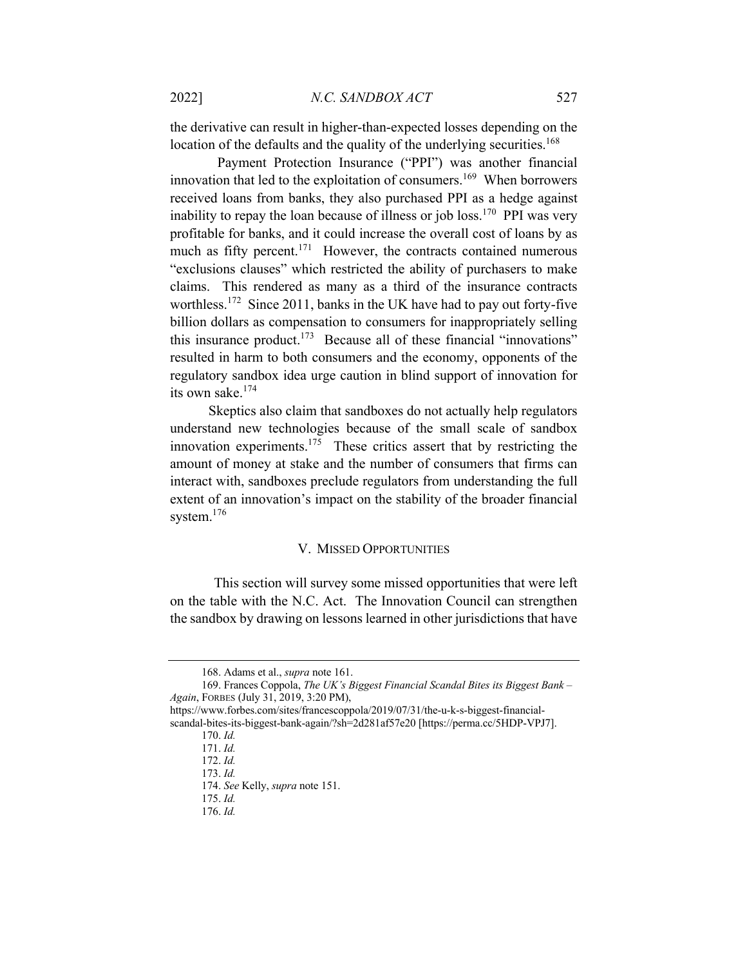the derivative can result in higher-than-expected losses depending on the location of the defaults and the quality of the underlying securities.<sup>168</sup>

Payment Protection Insurance ("PPI") was another financial innovation that led to the exploitation of consumers.<sup>169</sup> When borrowers received loans from banks, they also purchased PPI as a hedge against inability to repay the loan because of illness or job loss.<sup>170</sup> PPI was very profitable for banks, and it could increase the overall cost of loans by as much as fifty percent.<sup>171</sup> However, the contracts contained numerous "exclusions clauses" which restricted the ability of purchasers to make claims. This rendered as many as a third of the insurance contracts worthless.<sup>172</sup> Since 2011, banks in the UK have had to pay out forty-five billion dollars as compensation to consumers for inappropriately selling this insurance product.<sup>173</sup> Because all of these financial "innovations" resulted in harm to both consumers and the economy, opponents of the regulatory sandbox idea urge caution in blind support of innovation for its own sake.<sup>174</sup>

 Skeptics also claim that sandboxes do not actually help regulators understand new technologies because of the small scale of sandbox innovation experiments.<sup>175</sup> These critics assert that by restricting the amount of money at stake and the number of consumers that firms can interact with, sandboxes preclude regulators from understanding the full extent of an innovation's impact on the stability of the broader financial system.<sup>176</sup>

#### V. MISSED OPPORTUNITIES

This section will survey some missed opportunities that were left on the table with the N.C. Act. The Innovation Council can strengthen the sandbox by drawing on lessons learned in other jurisdictions that have

- 169. Frances Coppola, *The UK's Biggest Financial Scandal Bites its Biggest Bank – Again*, FORBES (July 31, 2019, 3:20 PM),
- https://www.forbes.com/sites/francescoppola/2019/07/31/the-u-k-s-biggest-financialscandal-bites-its-biggest-bank-again/?sh=2d281af57e20 [https://perma.cc/5HDP-VPJ7].

<sup>168.</sup> Adams et al., *supra* note 161.

<sup>170.</sup> *Id.* 

<sup>171.</sup> *Id.* 

<sup>172.</sup> *Id.*  173. *Id.* 

<sup>174.</sup> *See* Kelly, *supra* note 151.

<sup>175.</sup> *Id.* 

<sup>176.</sup> *Id.*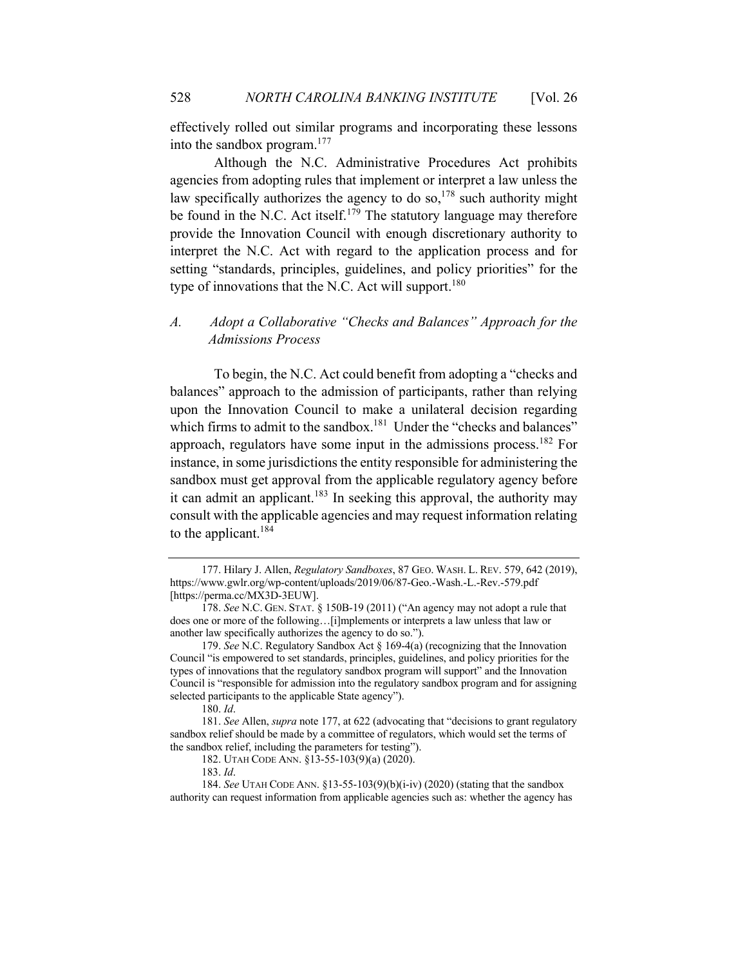effectively rolled out similar programs and incorporating these lessons into the sandbox program. $177$ 

Although the N.C. Administrative Procedures Act prohibits agencies from adopting rules that implement or interpret a law unless the law specifically authorizes the agency to do so,<sup>178</sup> such authority might be found in the N.C. Act itself.<sup>179</sup> The statutory language may therefore provide the Innovation Council with enough discretionary authority to interpret the N.C. Act with regard to the application process and for setting "standards, principles, guidelines, and policy priorities" for the type of innovations that the N.C. Act will support.<sup>180</sup>

# *A. Adopt a Collaborative "Checks and Balances" Approach for the Admissions Process*

To begin, the N.C. Act could benefit from adopting a "checks and balances" approach to the admission of participants, rather than relying upon the Innovation Council to make a unilateral decision regarding which firms to admit to the sandbox.<sup>181</sup> Under the "checks and balances" approach, regulators have some input in the admissions process.<sup>182</sup> For instance, in some jurisdictions the entity responsible for administering the sandbox must get approval from the applicable regulatory agency before it can admit an applicant.<sup>183</sup> In seeking this approval, the authority may consult with the applicable agencies and may request information relating to the applicant. $184$ 

180. *Id*.

181. *See* Allen, *supra* note 177, at 622 (advocating that "decisions to grant regulatory sandbox relief should be made by a committee of regulators, which would set the terms of the sandbox relief, including the parameters for testing").

<sup>177.</sup> Hilary J. Allen, *Regulatory Sandboxes*, 87 GEO. WASH. L. REV. 579, 642 (2019), https://www.gwlr.org/wp-content/uploads/2019/06/87-Geo.-Wash.-L.-Rev.-579.pdf [https://perma.cc/MX3D-3EUW].

<sup>178.</sup> *See* N.C. GEN. STAT. § 150B-19 (2011) ("An agency may not adopt a rule that does one or more of the following…[i]mplements or interprets a law unless that law or another law specifically authorizes the agency to do so.").

<sup>179.</sup> *See* N.C. Regulatory Sandbox Act § 169-4(a) (recognizing that the Innovation Council "is empowered to set standards, principles, guidelines, and policy priorities for the types of innovations that the regulatory sandbox program will support" and the Innovation Council is "responsible for admission into the regulatory sandbox program and for assigning selected participants to the applicable State agency").

<sup>182.</sup> UTAH CODE ANN. §13-55-103(9)(a) (2020).

<sup>183.</sup> *Id*.

<sup>184.</sup> *See* UTAH CODE ANN. §13-55-103(9)(b)(i-iv) (2020) (stating that the sandbox authority can request information from applicable agencies such as: whether the agency has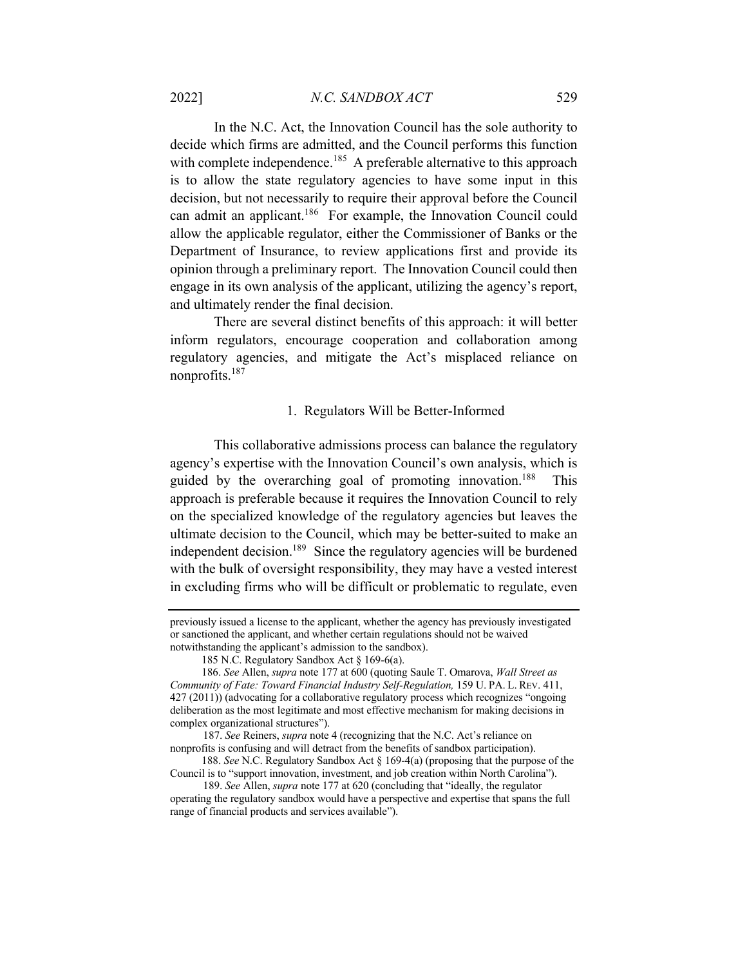In the N.C. Act, the Innovation Council has the sole authority to decide which firms are admitted, and the Council performs this function with complete independence.<sup>185</sup> A preferable alternative to this approach is to allow the state regulatory agencies to have some input in this decision, but not necessarily to require their approval before the Council can admit an applicant.186 For example, the Innovation Council could allow the applicable regulator, either the Commissioner of Banks or the Department of Insurance, to review applications first and provide its opinion through a preliminary report. The Innovation Council could then engage in its own analysis of the applicant, utilizing the agency's report, and ultimately render the final decision.

There are several distinct benefits of this approach: it will better inform regulators, encourage cooperation and collaboration among regulatory agencies, and mitigate the Act's misplaced reliance on nonprofits.<sup>187</sup>

# 1. Regulators Will be Better-Informed

This collaborative admissions process can balance the regulatory agency's expertise with the Innovation Council's own analysis, which is guided by the overarching goal of promoting innovation.188This approach is preferable because it requires the Innovation Council to rely on the specialized knowledge of the regulatory agencies but leaves the ultimate decision to the Council, which may be better-suited to make an independent decision.<sup>189</sup> Since the regulatory agencies will be burdened with the bulk of oversight responsibility, they may have a vested interest in excluding firms who will be difficult or problematic to regulate, even

previously issued a license to the applicant, whether the agency has previously investigated or sanctioned the applicant, and whether certain regulations should not be waived notwithstanding the applicant's admission to the sandbox).

<sup>185</sup> N.C. Regulatory Sandbox Act § 169-6(a).

<sup>186.</sup> *See* Allen, *supra* note 177 at 600 (quoting Saule T. Omarova, *Wall Street as Community of Fate: Toward Financial Industry Self-Regulation,* 159 U. PA. L. REV. 411, 427 (2011)) (advocating for a collaborative regulatory process which recognizes "ongoing deliberation as the most legitimate and most effective mechanism for making decisions in complex organizational structures").

 <sup>187.</sup> *See* Reiners, *supra* note 4 (recognizing that the N.C. Act's reliance on nonprofits is confusing and will detract from the benefits of sandbox participation).

<sup>188.</sup> *See* N.C. Regulatory Sandbox Act § 169-4(a) (proposing that the purpose of the Council is to "support innovation, investment, and job creation within North Carolina").

 <sup>189.</sup> *See* Allen, *supra* note 177 at 620 (concluding that "ideally, the regulator operating the regulatory sandbox would have a perspective and expertise that spans the full range of financial products and services available").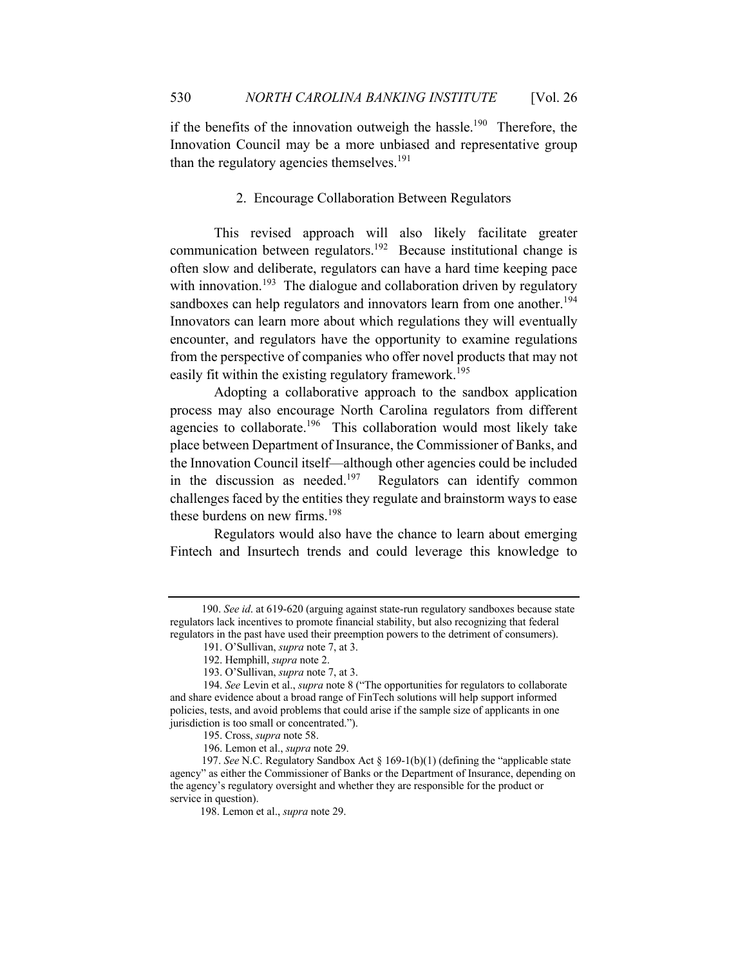if the benefits of the innovation outweigh the hassle.<sup>190</sup> Therefore, the Innovation Council may be a more unbiased and representative group than the regulatory agencies themselves.<sup>191</sup>

# 2. Encourage Collaboration Between Regulators

This revised approach will also likely facilitate greater communication between regulators.<sup>192</sup> Because institutional change is often slow and deliberate, regulators can have a hard time keeping pace with innovation.<sup>193</sup> The dialogue and collaboration driven by regulatory sandboxes can help regulators and innovators learn from one another.<sup>194</sup> Innovators can learn more about which regulations they will eventually encounter, and regulators have the opportunity to examine regulations from the perspective of companies who offer novel products that may not easily fit within the existing regulatory framework.<sup>195</sup>

Adopting a collaborative approach to the sandbox application process may also encourage North Carolina regulators from different agencies to collaborate.<sup>196</sup> This collaboration would most likely take place between Department of Insurance, the Commissioner of Banks, and the Innovation Council itself—although other agencies could be included in the discussion as needed.<sup>197</sup> Regulators can identify common challenges faced by the entities they regulate and brainstorm ways to ease these burdens on new firms.<sup>198</sup>

Regulators would also have the chance to learn about emerging Fintech and Insurtech trends and could leverage this knowledge to

<sup>190.</sup> *See id*. at 619-620 (arguing against state-run regulatory sandboxes because state regulators lack incentives to promote financial stability, but also recognizing that federal regulators in the past have used their preemption powers to the detriment of consumers).

 <sup>191.</sup> O'Sullivan, *supra* note 7, at 3.

 <sup>192.</sup> Hemphill, *supra* note 2.

 <sup>193.</sup> O'Sullivan, *supra* note 7, at 3.

 <sup>194.</sup> *See* Levin et al., *supra* note 8 ("The opportunities for regulators to collaborate and share evidence about a broad range of FinTech solutions will help support informed policies, tests, and avoid problems that could arise if the sample size of applicants in one jurisdiction is too small or concentrated.").

 <sup>195.</sup> Cross, *supra* note 58.

 <sup>196.</sup> Lemon et al., *supra* note 29.

<sup>197.</sup> *See* N.C. Regulatory Sandbox Act § 169-1(b)(1) (defining the "applicable state agency" as either the Commissioner of Banks or the Department of Insurance, depending on the agency's regulatory oversight and whether they are responsible for the product or service in question).

 <sup>198.</sup> Lemon et al., *supra* note 29.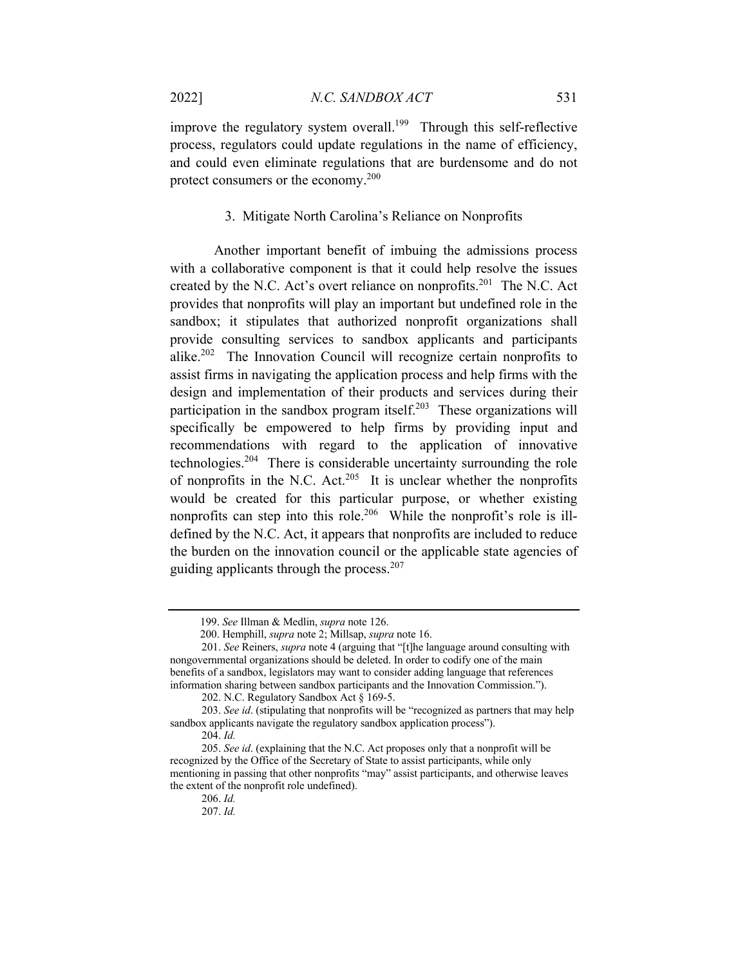improve the regulatory system overall.<sup>199</sup> Through this self-reflective process, regulators could update regulations in the name of efficiency, and could even eliminate regulations that are burdensome and do not protect consumers or the economy.<sup>200</sup>

## 3. Mitigate North Carolina's Reliance on Nonprofits

Another important benefit of imbuing the admissions process with a collaborative component is that it could help resolve the issues created by the N.C. Act's overt reliance on nonprofits.<sup>201</sup> The N.C. Act provides that nonprofits will play an important but undefined role in the sandbox; it stipulates that authorized nonprofit organizations shall provide consulting services to sandbox applicants and participants alike.<sup>202</sup> The Innovation Council will recognize certain nonprofits to assist firms in navigating the application process and help firms with the design and implementation of their products and services during their participation in the sandbox program itself.<sup>203</sup> These organizations will specifically be empowered to help firms by providing input and recommendations with regard to the application of innovative technologies.204 There is considerable uncertainty surrounding the role of nonprofits in the N.C. Act.<sup>205</sup> It is unclear whether the nonprofits would be created for this particular purpose, or whether existing nonprofits can step into this role.206 While the nonprofit's role is illdefined by the N.C. Act, it appears that nonprofits are included to reduce the burden on the innovation council or the applicable state agencies of guiding applicants through the process. $207$ 

 <sup>199.</sup> *See* Illman & Medlin, *supra* note 126.

 <sup>200.</sup> Hemphill, *supra* note 2; Millsap, *supra* note 16.

<sup>201.</sup> *See* Reiners, *supra* note 4 (arguing that "[t]he language around consulting with nongovernmental organizations should be deleted. In order to codify one of the main benefits of a sandbox, legislators may want to consider adding language that references information sharing between sandbox participants and the Innovation Commission.").

<sup>202.</sup> N.C. Regulatory Sandbox Act § 169-5.

<sup>203.</sup> *See id*. (stipulating that nonprofits will be "recognized as partners that may help sandbox applicants navigate the regulatory sandbox application process").

<sup>204.</sup> *Id.* 

<sup>205.</sup> *See id*. (explaining that the N.C. Act proposes only that a nonprofit will be recognized by the Office of the Secretary of State to assist participants, while only mentioning in passing that other nonprofits "may" assist participants, and otherwise leaves the extent of the nonprofit role undefined).

<sup>206.</sup> *Id.* 

<sup>207.</sup> *Id.*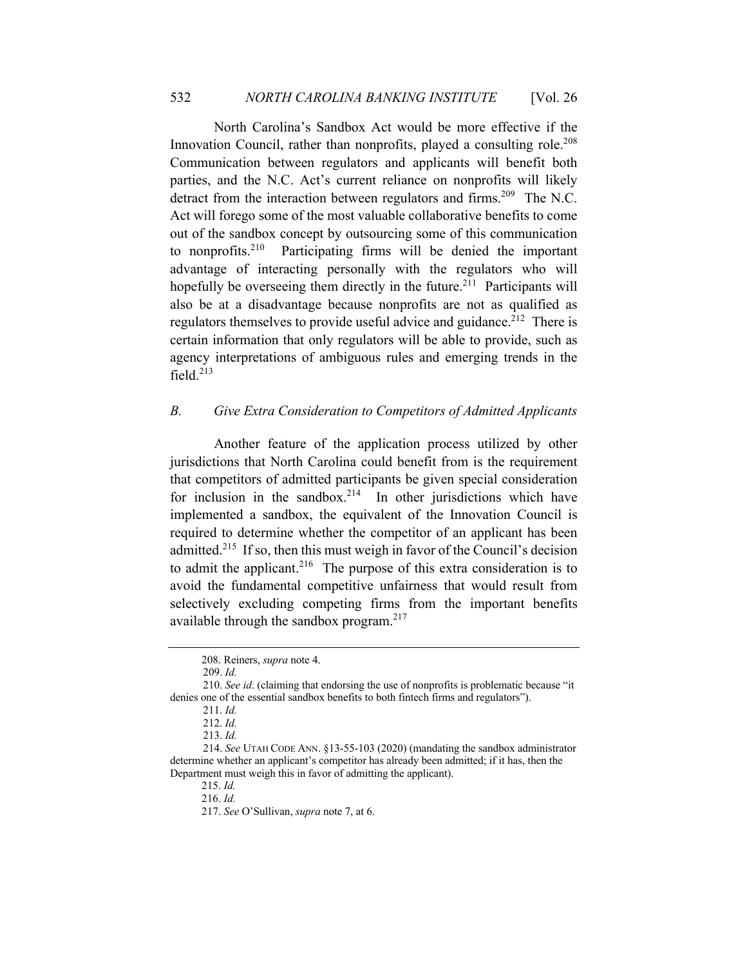North Carolina's Sandbox Act would be more effective if the Innovation Council, rather than nonprofits, played a consulting role.<sup>208</sup> Communication between regulators and applicants will benefit both parties, and the N.C. Act's current reliance on nonprofits will likely detract from the interaction between regulators and firms.<sup>209</sup> The N.C. Act will forego some of the most valuable collaborative benefits to come out of the sandbox concept by outsourcing some of this communication to nonprofits.<sup>210</sup> Participating firms will be denied the important advantage of interacting personally with the regulators who will hopefully be overseeing them directly in the future.<sup>211</sup> Participants will also be at a disadvantage because nonprofits are not as qualified as regulators themselves to provide useful advice and guidance.<sup>212</sup> There is certain information that only regulators will be able to provide, such as agency interpretations of ambiguous rules and emerging trends in the field.<sup>213</sup>

# *B. Give Extra Consideration to Competitors of Admitted Applicants*

Another feature of the application process utilized by other jurisdictions that North Carolina could benefit from is the requirement that competitors of admitted participants be given special consideration for inclusion in the sandbox.<sup>214</sup> In other jurisdictions which have implemented a sandbox, the equivalent of the Innovation Council is required to determine whether the competitor of an applicant has been admitted.<sup>215</sup> If so, then this must weigh in favor of the Council's decision to admit the applicant.<sup>216</sup> The purpose of this extra consideration is to avoid the fundamental competitive unfairness that would result from selectively excluding competing firms from the important benefits available through the sandbox program.<sup>217</sup>

<sup>208.</sup> Reiners, *supra* note 4.

 <sup>209.</sup> *Id.* 

 <sup>210.</sup> *See id*. (claiming that endorsing the use of nonprofits is problematic because "it denies one of the essential sandbox benefits to both fintech firms and regulators").

 <sup>211.</sup> *Id.* 

 <sup>212.</sup> *Id.* 

 <sup>213.</sup> *Id.* 

 <sup>214.</sup> *See* UTAH CODE ANN. §13-55-103 (2020) (mandating the sandbox administrator determine whether an applicant's competitor has already been admitted; if it has, then the Department must weigh this in favor of admitting the applicant).

<sup>215.</sup> *Id.* 

<sup>216.</sup> *Id.* 

<sup>217.</sup> *See* O'Sullivan, *supra* note 7, at 6.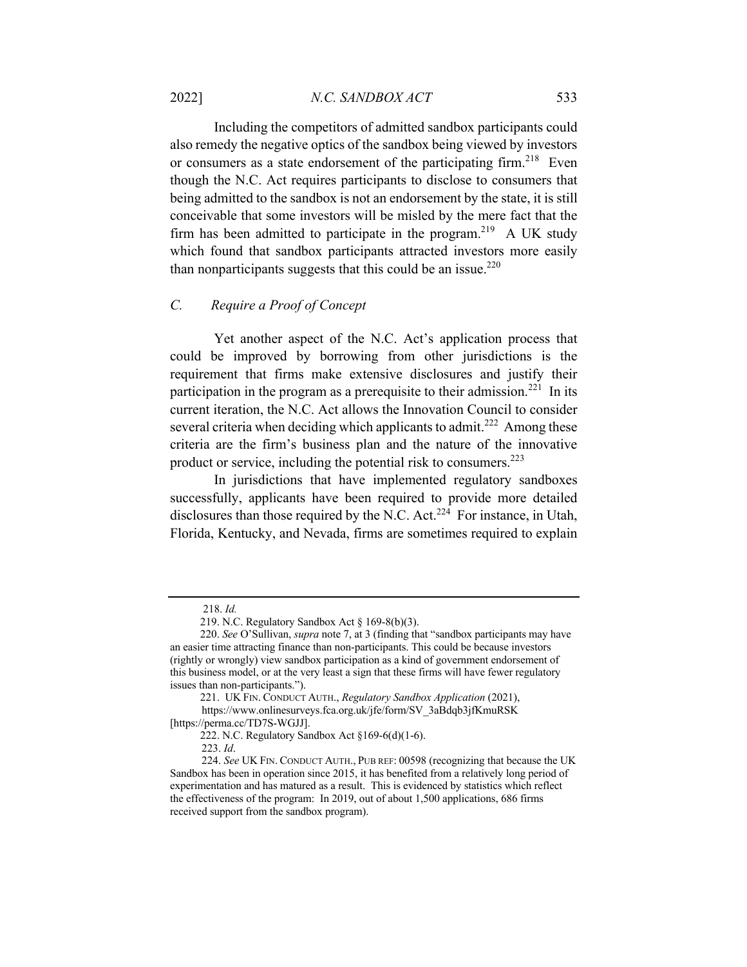Including the competitors of admitted sandbox participants could also remedy the negative optics of the sandbox being viewed by investors or consumers as a state endorsement of the participating firm.<sup>218</sup> Even though the N.C. Act requires participants to disclose to consumers that being admitted to the sandbox is not an endorsement by the state, it is still conceivable that some investors will be misled by the mere fact that the firm has been admitted to participate in the program.<sup>219</sup> A UK study which found that sandbox participants attracted investors more easily than nonparticipants suggests that this could be an issue.<sup>220</sup>

# *C. Require a Proof of Concept*

Yet another aspect of the N.C. Act's application process that could be improved by borrowing from other jurisdictions is the requirement that firms make extensive disclosures and justify their participation in the program as a prerequisite to their admission.<sup>221</sup> In its current iteration, the N.C. Act allows the Innovation Council to consider several criteria when deciding which applicants to admit.<sup>222</sup> Among these criteria are the firm's business plan and the nature of the innovative product or service, including the potential risk to consumers.<sup>223</sup>

In jurisdictions that have implemented regulatory sandboxes successfully, applicants have been required to provide more detailed disclosures than those required by the N.C. Act.<sup>224</sup> For instance, in Utah, Florida, Kentucky, and Nevada, firms are sometimes required to explain

 <sup>218.</sup> *Id.* 

 <sup>219.</sup> N.C. Regulatory Sandbox Act § 169-8(b)(3).

 <sup>220.</sup> *See* O'Sullivan, *supra* note 7, at 3 (finding that "sandbox participants may have an easier time attracting finance than non-participants. This could be because investors (rightly or wrongly) view sandbox participation as a kind of government endorsement of this business model, or at the very least a sign that these firms will have fewer regulatory issues than non-participants.").

 <sup>221.</sup> UK FIN. CONDUCT AUTH., *Regulatory Sandbox Application* (2021),

https://www.onlinesurveys.fca.org.uk/jfe/form/SV\_3aBdqb3jfKmuRSK [https://perma.cc/TD7S-WGJJ].

 <sup>222.</sup> N.C. Regulatory Sandbox Act §169-6(d)(1-6).

<sup>223.</sup> *Id*.

<sup>224.</sup> *See* UK FIN. CONDUCT AUTH., PUB REF: 00598 (recognizing that because the UK Sandbox has been in operation since 2015, it has benefited from a relatively long period of experimentation and has matured as a result. This is evidenced by statistics which reflect the effectiveness of the program: In 2019, out of about 1,500 applications, 686 firms received support from the sandbox program).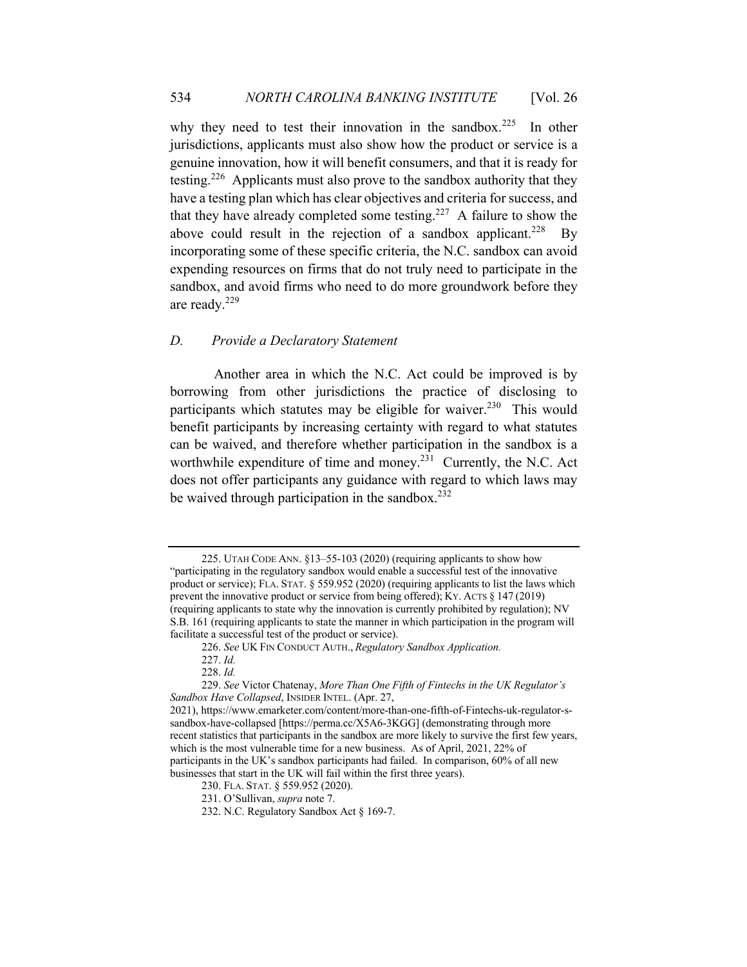why they need to test their innovation in the sandbox.<sup>225</sup> In other jurisdictions, applicants must also show how the product or service is a genuine innovation, how it will benefit consumers, and that it is ready for testing.<sup>226</sup> Applicants must also prove to the sandbox authority that they have a testing plan which has clear objectives and criteria for success, and that they have already completed some testing.<sup>227</sup> A failure to show the above could result in the rejection of a sandbox applicant.<sup>228</sup> By incorporating some of these specific criteria, the N.C. sandbox can avoid expending resources on firms that do not truly need to participate in the sandbox, and avoid firms who need to do more groundwork before they are ready.<sup>229</sup>

#### *D. Provide a Declaratory Statement*

Another area in which the N.C. Act could be improved is by borrowing from other jurisdictions the practice of disclosing to participants which statutes may be eligible for waiver.<sup>230</sup> This would benefit participants by increasing certainty with regard to what statutes can be waived, and therefore whether participation in the sandbox is a worthwhile expenditure of time and money.<sup>231</sup> Currently, the N.C. Act does not offer participants any guidance with regard to which laws may be waived through participation in the sandbox.<sup>232</sup>

<sup>225.</sup> UTAH CODE ANN. §13–55-103 (2020) (requiring applicants to show how "participating in the regulatory sandbox would enable a successful test of the innovative product or service); FLA. STAT. § 559.952 (2020) (requiring applicants to list the laws which prevent the innovative product or service from being offered); KY. ACTS § 147 (2019) (requiring applicants to state why the innovation is currently prohibited by regulation); NV S.B. 161 (requiring applicants to state the manner in which participation in the program will facilitate a successful test of the product or service).

<sup>226.</sup> *See* UK FIN CONDUCT AUTH., *Regulatory Sandbox Application.* 

<sup>227.</sup> *Id.* 

<sup>228.</sup> *Id.* 

<sup>229.</sup> *See* Victor Chatenay, *More Than One Fifth of Fintechs in the UK Regulator's Sandbox Have Collapsed*, INSIDER INTEL. (Apr. 27,

<sup>2021),</sup> https://www.emarketer.com/content/more-than-one-fifth-of-Fintechs-uk-regulator-ssandbox-have-collapsed [https://perma.cc/X5A6-3KGG] (demonstrating through more recent statistics that participants in the sandbox are more likely to survive the first few years, which is the most vulnerable time for a new business. As of April, 2021, 22% of participants in the UK's sandbox participants had failed. In comparison, 60% of all new businesses that start in the UK will fail within the first three years).

<sup>230.</sup> FLA. STAT. § 559.952 (2020).

<sup>231.</sup> O'Sullivan, *supra* note 7.

<sup>232.</sup> N.C. Regulatory Sandbox Act § 169-7.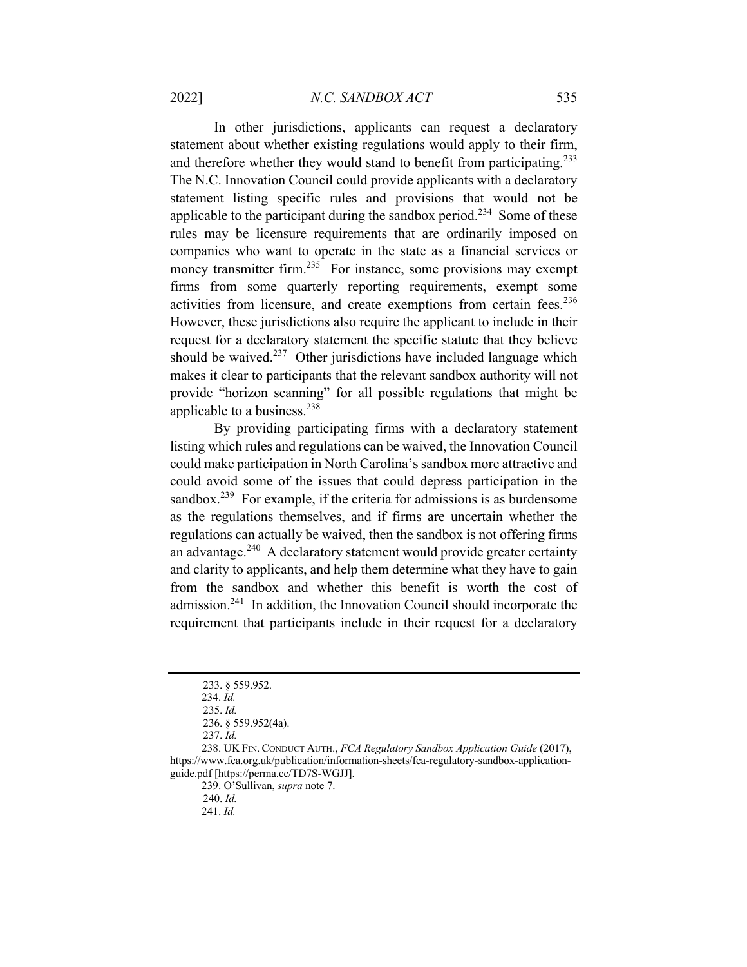In other jurisdictions, applicants can request a declaratory statement about whether existing regulations would apply to their firm, and therefore whether they would stand to benefit from participating.<sup>233</sup> The N.C. Innovation Council could provide applicants with a declaratory statement listing specific rules and provisions that would not be applicable to the participant during the sandbox period.<sup>234</sup> Some of these rules may be licensure requirements that are ordinarily imposed on companies who want to operate in the state as a financial services or money transmitter firm.<sup>235</sup> For instance, some provisions may exempt firms from some quarterly reporting requirements, exempt some activities from licensure, and create exemptions from certain fees.<sup>236</sup> However, these jurisdictions also require the applicant to include in their request for a declaratory statement the specific statute that they believe should be waived. $237$  Other jurisdictions have included language which makes it clear to participants that the relevant sandbox authority will not provide "horizon scanning" for all possible regulations that might be applicable to a business.<sup>238</sup>

By providing participating firms with a declaratory statement listing which rules and regulations can be waived, the Innovation Council could make participation in North Carolina's sandbox more attractive and could avoid some of the issues that could depress participation in the sandbox.<sup>239</sup> For example, if the criteria for admissions is as burdensome as the regulations themselves, and if firms are uncertain whether the regulations can actually be waived, then the sandbox is not offering firms an advantage.240 A declaratory statement would provide greater certainty and clarity to applicants, and help them determine what they have to gain from the sandbox and whether this benefit is worth the cost of admission.241 In addition, the Innovation Council should incorporate the requirement that participants include in their request for a declaratory

239. O'Sullivan, *supra* note 7.

 <sup>233. § 559.952.</sup> 

<sup>234.</sup> *Id.* 

 <sup>235.</sup> *Id.* 

 <sup>236. § 559.952(4</sup>a).

 <sup>237.</sup> *Id.* 

<sup>238.</sup> UK FIN. CONDUCT AUTH., *FCA Regulatory Sandbox Application Guide* (2017), https://www.fca.org.uk/publication/information-sheets/fca-regulatory-sandbox-applicationguide.pdf [https://perma.cc/TD7S-WGJJ].

 <sup>240.</sup> *Id.*

<sup>241.</sup> *Id.*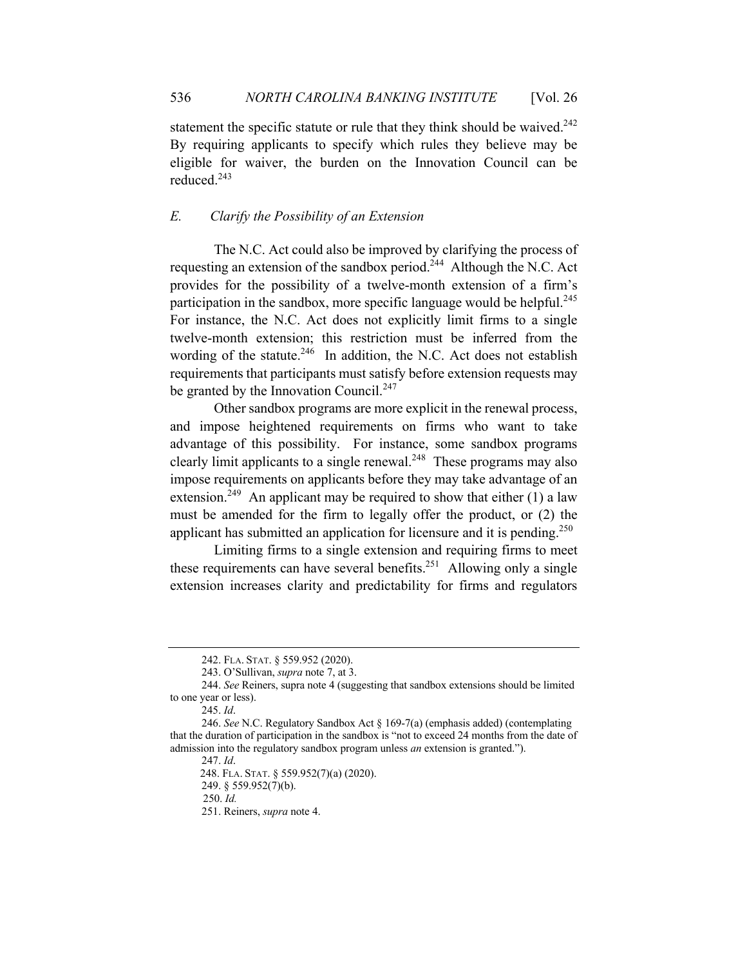statement the specific statute or rule that they think should be waived.<sup>242</sup> By requiring applicants to specify which rules they believe may be eligible for waiver, the burden on the Innovation Council can be reduced.<sup>243</sup>

# *E. Clarify the Possibility of an Extension*

The N.C. Act could also be improved by clarifying the process of requesting an extension of the sandbox period.<sup>244</sup> Although the N.C. Act provides for the possibility of a twelve-month extension of a firm's participation in the sandbox, more specific language would be helpful.<sup>245</sup> For instance, the N.C. Act does not explicitly limit firms to a single twelve-month extension; this restriction must be inferred from the wording of the statute.<sup>246</sup> In addition, the N.C. Act does not establish requirements that participants must satisfy before extension requests may be granted by the Innovation Council.<sup>247</sup>

Other sandbox programs are more explicit in the renewal process, and impose heightened requirements on firms who want to take advantage of this possibility. For instance, some sandbox programs clearly limit applicants to a single renewal.<sup>248</sup> These programs may also impose requirements on applicants before they may take advantage of an extension.<sup>249</sup> An applicant may be required to show that either  $(1)$  a law must be amended for the firm to legally offer the product, or (2) the applicant has submitted an application for licensure and it is pending.<sup>250</sup>

Limiting firms to a single extension and requiring firms to meet these requirements can have several benefits.<sup>251</sup> Allowing only a single extension increases clarity and predictability for firms and regulators

<sup>242.</sup> FLA. STAT. § 559.952 (2020).

<sup>243.</sup> O'Sullivan, *supra* note 7, at 3.

<sup>244.</sup> *See* Reiners, supra note 4 (suggesting that sandbox extensions should be limited to one year or less).

<sup>245.</sup> *Id*.

<sup>246.</sup> *See* N.C. Regulatory Sandbox Act § 169-7(a) (emphasis added) (contemplating that the duration of participation in the sandbox is "not to exceed 24 months from the date of admission into the regulatory sandbox program unless *an* extension is granted.").

<sup>247.</sup> *Id*.

 <sup>248.</sup> FLA. STAT. § 559.952(7)(a) (2020).

<sup>249. § 559.952(7)(</sup>b).

 <sup>250.</sup> *Id.* 

<sup>251.</sup> Reiners, *supra* note 4.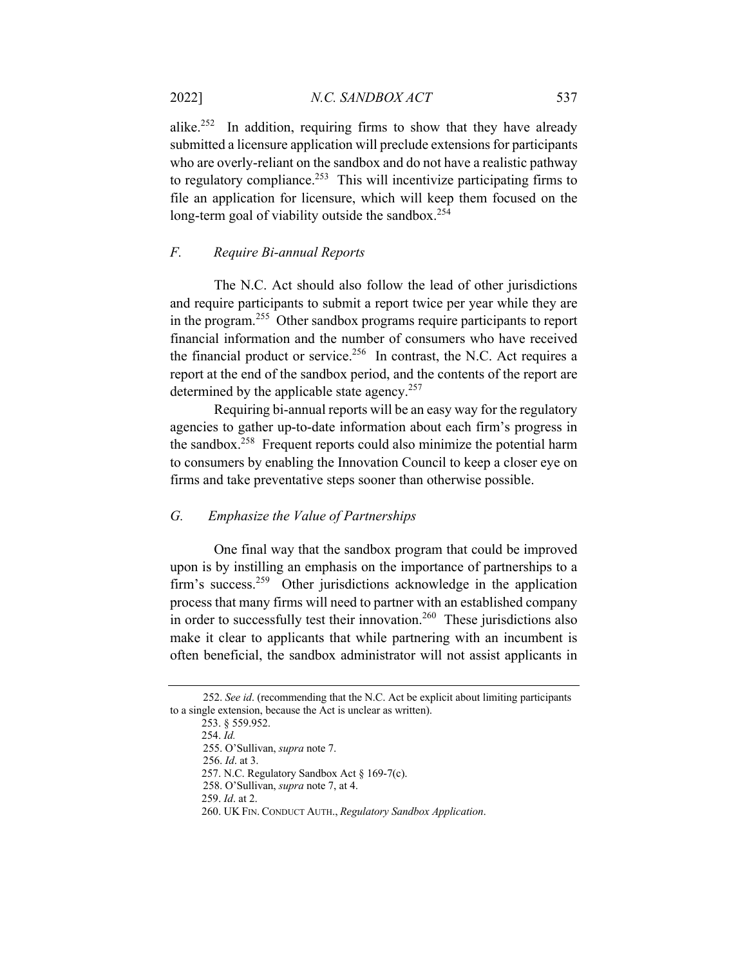alike.<sup>252</sup> In addition, requiring firms to show that they have already submitted a licensure application will preclude extensions for participants who are overly-reliant on the sandbox and do not have a realistic pathway to regulatory compliance.<sup>253</sup> This will incentivize participating firms to file an application for licensure, which will keep them focused on the long-term goal of viability outside the sandbox.<sup>254</sup>

# *F. Require Bi-annual Reports*

The N.C. Act should also follow the lead of other jurisdictions and require participants to submit a report twice per year while they are in the program.<sup>255</sup> Other sandbox programs require participants to report financial information and the number of consumers who have received the financial product or service.<sup>256</sup> In contrast, the N.C. Act requires a report at the end of the sandbox period, and the contents of the report are determined by the applicable state agency.<sup>257</sup>

Requiring bi-annual reports will be an easy way for the regulatory agencies to gather up-to-date information about each firm's progress in the sandbox.258 Frequent reports could also minimize the potential harm to consumers by enabling the Innovation Council to keep a closer eye on firms and take preventative steps sooner than otherwise possible.

# *G. Emphasize the Value of Partnerships*

One final way that the sandbox program that could be improved upon is by instilling an emphasis on the importance of partnerships to a firm's success.<sup>259</sup> Other jurisdictions acknowledge in the application process that many firms will need to partner with an established company in order to successfully test their innovation.<sup>260</sup> These jurisdictions also make it clear to applicants that while partnering with an incumbent is often beneficial, the sandbox administrator will not assist applicants in

 <sup>252.</sup> *See id*. (recommending that the N.C. Act be explicit about limiting participants to a single extension, because the Act is unclear as written).

<sup>253. § 559.952.</sup> 

<sup>254.</sup> *Id.* 

 <sup>255.</sup> O'Sullivan, *supra* note 7.

 <sup>256.</sup> *Id*. at 3.

<sup>257.</sup> N.C. Regulatory Sandbox Act § 169-7(c).

 <sup>258.</sup> O'Sullivan, *supra* note 7, at 4.

<sup>259.</sup> *Id*. at 2.

<sup>260.</sup> UK FIN. CONDUCT AUTH., *Regulatory Sandbox Application*.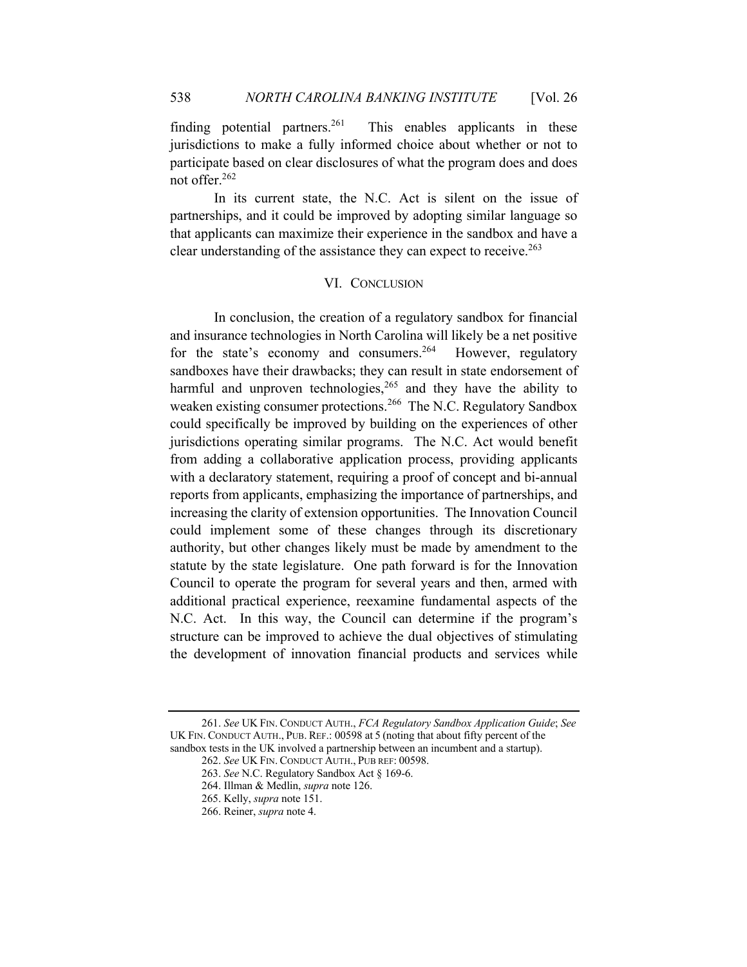finding potential partners.<sup>261</sup> This enables applicants in these jurisdictions to make a fully informed choice about whether or not to participate based on clear disclosures of what the program does and does not offer.262

In its current state, the N.C. Act is silent on the issue of partnerships, and it could be improved by adopting similar language so that applicants can maximize their experience in the sandbox and have a clear understanding of the assistance they can expect to receive.  $263$ 

# VI. CONCLUSION

In conclusion, the creation of a regulatory sandbox for financial and insurance technologies in North Carolina will likely be a net positive for the state's economy and consumers.<sup>264</sup> However, regulatory sandboxes have their drawbacks; they can result in state endorsement of harmful and unproven technologies,  $265$  and they have the ability to weaken existing consumer protections.<sup>266</sup> The N.C. Regulatory Sandbox could specifically be improved by building on the experiences of other jurisdictions operating similar programs. The N.C. Act would benefit from adding a collaborative application process, providing applicants with a declaratory statement, requiring a proof of concept and bi-annual reports from applicants, emphasizing the importance of partnerships, and increasing the clarity of extension opportunities. The Innovation Council could implement some of these changes through its discretionary authority, but other changes likely must be made by amendment to the statute by the state legislature. One path forward is for the Innovation Council to operate the program for several years and then, armed with additional practical experience, reexamine fundamental aspects of the N.C. Act. In this way, the Council can determine if the program's structure can be improved to achieve the dual objectives of stimulating the development of innovation financial products and services while

<sup>261.</sup> *See* UK FIN. CONDUCT AUTH., *FCA Regulatory Sandbox Application Guide*; *See* UK FIN. CONDUCT AUTH., PUB. REF.: 00598 at 5 (noting that about fifty percent of the sandbox tests in the UK involved a partnership between an incumbent and a startup).

<sup>262.</sup> *See* UK FIN. CONDUCT AUTH., PUB REF: 00598.

<sup>263.</sup> *See* N.C. Regulatory Sandbox Act § 169-6.

<sup>264.</sup> Illman & Medlin, *supra* note 126.

<sup>265.</sup> Kelly, *supra* note 151.

<sup>266.</sup> Reiner, *supra* note 4.